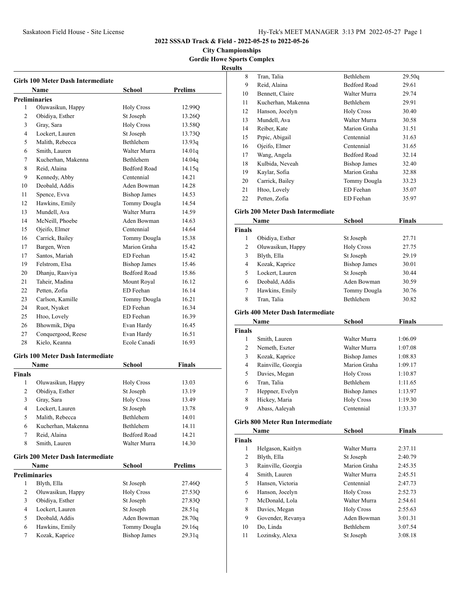**City Championships Gordie Howe Sports Complex Resul** 

|                | Girls 100 Meter Dash Intermediate<br>Name | School              | Prelims        |
|----------------|-------------------------------------------|---------------------|----------------|
|                | <b>Preliminaries</b>                      |                     |                |
| 1              | Oluwasikun, Happy                         | <b>Holy Cross</b>   | 12.99Q         |
| 2              | Obidiya, Esther                           | St Joseph           | 13.26Q         |
| 3              | Gray, Sara                                | <b>Holy Cross</b>   | 13.58Q         |
| 4              | Lockert, Lauren                           | St Joseph           | 13.73Q         |
| 5              | Malith, Rebecca                           | Bethlehem           | 13.93q         |
| 6              | Smith, Lauren                             | Walter Murra        | 14.01q         |
| 7              | Kucherhan, Makenna                        | Bethlehem           | 14.04q         |
| 8              | Reid, Alaina                              | <b>Bedford Road</b> | 14.15q         |
| 9              | Kennedy, Abby                             | Centennial          | 14.21          |
| 10             | Deobald, Addis                            | Aden Bowman         | 14.28          |
| 11             | Spence, Evva                              | <b>Bishop James</b> | 14.53          |
| 12             | Hawkins, Emily                            | Tommy Dougla        | 14.54          |
| 13             | Mundell, Ava                              | Walter Murra        | 14.59          |
| 14             | McNeill, Phoebe                           | Aden Bowman         | 14.63          |
| 15             | Ojeifo, Elmer                             | Centennial          | 14.64          |
| 16             | Carrick, Bailey                           | Tommy Dougla        | 15.38          |
| 17             | Bargen, Wren                              | Marion Graha        | 15.42          |
| 17             | Santos, Mariah                            | ED Feehan           | 15.42          |
| 19             | Felstrom, Elsa                            | <b>Bishop James</b> | 15.46          |
| 20             | Dhanju, Raaviya                           | <b>Bedford Road</b> | 15.86          |
| 21             | Taheir, Madina                            | Mount Royal         | 16.12          |
| 22             | Petten, Zofia                             | ED Feehan           | 16.14          |
| 23             | Carlson, Kamille                          | Tommy Dougla        | 16.21          |
| 24             | Ruot, Nyaket                              | ED Feehan           | 16.34          |
| 25             | Htoo, Lovely                              | ED Feehan           | 16.39          |
| 26             | Bhowmik, Dipa                             | Evan Hardy          | 16.45          |
| 27             | Conquergood, Reese                        | Evan Hardy          | 16.51          |
| 28             | Kielo, Keanna                             | Ecole Canadi        | 16.93          |
|                |                                           |                     |                |
|                | <b>Girls 100 Meter Dash Intermediate</b>  |                     |                |
|                | Name                                      | School              | Finals         |
| <b>Finals</b>  |                                           |                     |                |
| 1              | Oluwasikun, Happy                         | <b>Holy Cross</b>   | 13.03          |
| $\overline{2}$ | Obidiya, Esther                           | St Joseph           | 13.19          |
| 3              | Gray, Sara                                | <b>Holy Cross</b>   | 13.49          |
| 4              | Lockert, Lauren                           | St Joseph           | 13.78          |
| 5              | Malith, Rebecca                           | Bethlehem           | 14.01          |
| 6              | Kucherhan, Makenna                        | Bethlehem           | 14.11          |
| 7              | Reid, Alaina                              | <b>Bedford Road</b> | 14.21          |
| 8              | Smith, Lauren                             | Walter Murra        | 14.30          |
|                | <b>Girls 200 Meter Dash Intermediate</b>  |                     |                |
|                | Name                                      | School              | <b>Prelims</b> |
|                | <b>Preliminaries</b>                      |                     |                |
| 1              | Blyth, Ella                               | St Joseph           | 27.46Q         |
| 2              | Oluwasikun, Happy                         | <b>Holy Cross</b>   | 27.53Q         |
| 3              | Obidiya, Esther                           | St Joseph           | 27.83Q         |
| 4              | Lockert, Lauren                           | St Joseph           | 28.51q         |
| 5              | Deobald, Addis                            | Aden Bowman         | 28.70q         |
| 6              | Hawkins, Emily                            | Tommy Dougla        | 29.16q         |
| 7              | Kozak, Kaprice                            | <b>Bishop James</b> | 29.31q         |

| ults           |                                          |                                |                    |
|----------------|------------------------------------------|--------------------------------|--------------------|
| 8              | Tran, Talia                              | Bethlehem                      | 29.50q             |
| 9              | Reid, Alaina                             | <b>Bedford Road</b>            | 29.61              |
| 10             | Bennett, Claire                          | Walter Murra                   | 29.74              |
| 11             | Kucherhan, Makenna                       | Bethlehem                      | 29.91              |
| 12             | Hanson, Jocelyn                          | <b>Holy Cross</b>              | 30.40              |
| 13             | Mundell, Ava                             | Walter Murra                   | 30.58              |
| 14             | Reiber, Kate                             | Marion Graha                   | 31.51              |
| 15             | Prpic, Abigail                           | Centennial                     | 31.63              |
| 16             | Ojeifo, Elmer                            | Centennial                     | 31.65              |
| 17             | Wang, Angela                             | <b>Bedford Road</b>            | 32.14              |
| 18             | Kulbida, Neveah                          | <b>Bishop James</b>            | 32.40              |
| 19             | Kaylar, Sofia                            | Marion Graha                   | 32.88              |
| 20             | Carrick, Bailey                          | Tommy Dougla                   | 33.23              |
| 21             | Htoo, Lovely                             | ED Feehan                      | 35.07              |
| 22             | Petten, Zofia                            | ED Feehan                      | 35.97              |
|                |                                          |                                |                    |
|                | <b>Girls 200 Meter Dash Intermediate</b> |                                |                    |
|                | Name                                     | School                         | Finals             |
| <b>Finals</b>  |                                          |                                |                    |
| 1              | Obidiya, Esther                          | St Joseph                      | 27.71              |
| 2              | Oluwasikun, Happy                        | <b>Holy Cross</b>              | 27.75              |
| 3              | Blyth, Ella                              | St Joseph                      | 29.19              |
| 4              | Kozak, Kaprice                           | <b>Bishop James</b>            | 30.01              |
| 5              | Lockert, Lauren                          | St Joseph                      | 30.44              |
| 6              | Deobald, Addis                           | Aden Bowman                    | 30.59              |
| 7              | Hawkins, Emily                           | Tommy Dougla                   | 30.76              |
| 8              | Tran, Talia                              | Bethlehem                      | 30.82              |
|                | Girls 400 Meter Dash Intermediate        |                                |                    |
|                | Name                                     | School                         | <b>Finals</b>      |
|                |                                          |                                |                    |
| Finals<br>1    | Smith, Lauren                            | Walter Murra                   | 1:06.09            |
| 2              | Nemeth, Eszter                           | Walter Murra                   | 1:07.08            |
| 3              | Kozak, Kaprice                           | <b>Bishop James</b>            | 1:08.83            |
| 4              | Rainville, Georgia                       | Marion Graha                   |                    |
| 5              |                                          |                                | 1:09.17<br>1:10.87 |
|                | Davies, Megan<br>Tran, Talia             | <b>Holy Cross</b><br>Bethlehem |                    |
| 6<br>7         | Heppner, Evelyn                          | <b>Bishop James</b>            | 1:11.65            |
| 8              | Hickey, Maria                            | <b>Holy Cross</b>              | 1:13.97<br>1:19.30 |
|                |                                          |                                |                    |
| 9              | Abass, Aaleyah                           | Centennial                     | 1:33.37            |
|                | <b>Girls 800 Meter Run Intermediate</b>  |                                |                    |
|                | Name                                     | <b>School</b>                  | <b>Finals</b>      |
| <b>Finals</b>  |                                          |                                |                    |
| 1              | Helgason, Kaitlyn                        | Walter Murra                   | 2:37.11            |
| $\overline{c}$ | Blyth, Ella                              | St Joseph                      | 2:40.79            |
| 3              | Rainville, Georgia                       | Marion Graha                   | 2:45.35            |
| $\overline{4}$ | Smith, Lauren                            | Walter Murra                   | 2:45.51            |
| 5              | Hansen, Victoria                         | Centennial                     | 2:47.73            |
| 6              | Hanson, Jocelyn                          | <b>Holy Cross</b>              | 2:52.73            |
| 7              | McDonald, Lola                           | Walter Murra                   | 2:54.61            |
| 8              | Davies, Megan                            | <b>Holy Cross</b>              | 2:55.63            |
| 9              |                                          |                                |                    |
|                | Govender, Revanya                        | Aden Bowman                    | 3:01.31            |
| 10             | Do, Linda                                | Bethlehem                      | 3:07.54            |
| 11             | Lozinsky, Alexa                          | St Joseph                      | 3:08.18            |
|                |                                          |                                |                    |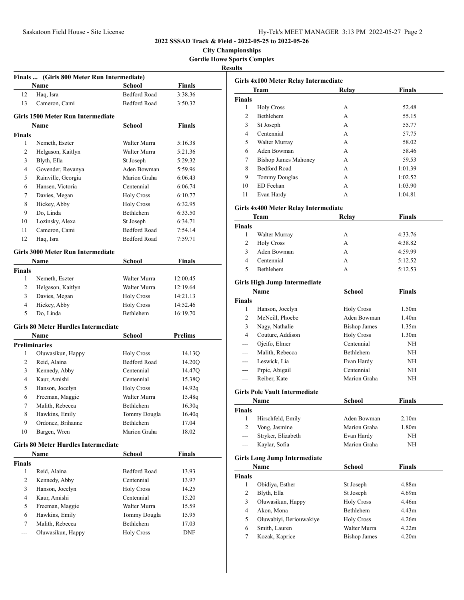**City Championships Gordie Howe Sports Complex Results**

|                | Name                                       | School                           | <b>Finals</b>      |
|----------------|--------------------------------------------|----------------------------------|--------------------|
| 12             | Haq, Isra                                  | <b>Bedford Road</b>              | 3:38.36            |
| 13             | Cameron, Cami                              | <b>Bedford Road</b>              | 3:50.32            |
|                |                                            |                                  |                    |
|                | <b>Girls 1500 Meter Run Intermediate</b>   |                                  |                    |
|                | Name                                       | School                           | Finals             |
| Finals<br>1    |                                            | Walter Murra                     |                    |
| 2              | Nemeth, Eszter<br>Helgason, Kaitlyn        | Walter Murra                     | 5:16.38<br>5:21.36 |
| 3              | Blyth, Ella                                |                                  |                    |
| 4              |                                            | St Joseph                        | 5:29.32<br>5:59.96 |
| 5              | Govender, Revanya                          | Aden Bowman<br>Marion Graha      | 6:06.43            |
|                | Rainville, Georgia<br>Hansen, Victoria     | Centennial                       | 6:06.74            |
| 6              |                                            | <b>Holy Cross</b>                |                    |
| 7<br>8         | Davies, Megan                              |                                  | 6:10.77            |
|                | Hickey, Abby<br>Do, Linda                  | <b>Holy Cross</b><br>Bethlehem   | 6:32.95            |
| 9              |                                            |                                  | 6:33.50            |
| 10             | Lozinsky, Alexa<br>Cameron, Cami           | St Joseph<br><b>Bedford Road</b> | 6:34.71            |
| 11             |                                            | <b>Bedford Road</b>              | 7:54.14            |
| 12             | Haq, Isra                                  |                                  | 7:59.71            |
|                | <b>Girls 3000 Meter Run Intermediate</b>   |                                  |                    |
|                | Name                                       | School                           | <b>Finals</b>      |
| <b>Finals</b>  |                                            |                                  |                    |
| 1              | Nemeth, Eszter                             | Walter Murra                     | 12:00.45           |
| 2              | Helgason, Kaitlyn                          | Walter Murra                     | 12:19.64           |
| 3              | Davies, Megan                              | <b>Holy Cross</b>                | 14:21.13           |
| 4              | Hickey, Abby                               | <b>Holy Cross</b>                | 14:52.46           |
| 5              | Do, Linda                                  | Bethlehem                        | 16:19.70           |
|                | Girls 80 Meter Hurdles Intermediate        |                                  |                    |
|                | Name                                       | School                           | <b>Prelims</b>     |
|                | <b>Preliminaries</b>                       |                                  |                    |
| 1              | Oluwasikun, Happy                          | <b>Holy Cross</b>                | 14.13Q             |
| 2              | Reid, Alaina                               | Bedford Road                     | 14.20Q             |
| 3              | Kennedy, Abby                              | Centennial                       | 14.47Q             |
| 4              | Kaur, Amishi                               | Centennial                       | 15.38Q             |
| 5              | Hanson, Jocelyn                            | <b>Holy Cross</b>                | 14.92q             |
| 6              | Freeman, Maggie                            | Walter Murra                     | 15.48q             |
| $\mathcal{L}$  | Malith, Rebecca                            | Bethlehem                        | 16.30q             |
| 8              | Hawkins, Emily                             | Tommy Dougla                     | 16.40q             |
| 9              | Ordonez, Brihanne                          | Bethlehem                        | 17.04              |
| 10             | Bargen, Wren                               | Marion Graha                     | 18.02              |
|                |                                            |                                  |                    |
|                | <b>Girls 80 Meter Hurdles Intermediate</b> |                                  |                    |
|                | Name                                       | <b>School</b>                    | <b>Finals</b>      |
| Finals         |                                            |                                  |                    |
| 1              | Reid, Alaina                               | Bedford Road                     | 13.93              |
| 2              | Kennedy, Abby                              | Centennial                       | 13.97              |
| 3              | Hanson, Jocelyn                            | <b>Holy Cross</b>                | 14.25              |
| $\overline{4}$ | Kaur, Amishi                               | Centennial                       | 15.20              |
| 5              | Freeman, Maggie                            | Walter Murra                     | 15.59              |
| 6              | Hawkins, Emily                             | Tommy Dougla                     | 15.95              |
| 7<br>---       | Malith, Rebecca                            | Bethlehem                        | 17.03              |
|                | Oluwasikun, Happy                          | <b>Holy Cross</b>                | DNF                |

| Girls 4x100 Meter Relay Intermediate |                                      |                                  |                   |  |
|--------------------------------------|--------------------------------------|----------------------------------|-------------------|--|
|                                      | Team                                 | Relay                            | Finals            |  |
| <b>Finals</b>                        |                                      |                                  |                   |  |
| 1                                    | <b>Holy Cross</b>                    | A                                | 52.48             |  |
| 2                                    | <b>Bethlehem</b>                     | A                                | 55.15             |  |
| 3                                    | St Joseph                            | A                                | 55.77             |  |
| 4                                    | Centennial                           | A                                | 57.75             |  |
| 5                                    | Walter Murray                        | A                                | 58.02             |  |
| 6                                    | Aden Bowman                          | A                                | 58.46             |  |
| 7                                    | <b>Bishop James Mahoney</b>          | A                                | 59.53             |  |
| 8                                    | <b>Bedford Road</b>                  | A                                | 1:01.39           |  |
| 9                                    | <b>Tommy Douglas</b>                 | A                                | 1:02.52           |  |
| 10                                   | ED Feehan                            | A                                | 1:03.90           |  |
| 11                                   | Evan Hardy                           | А                                | 1:04.81           |  |
|                                      | Girls 4x400 Meter Relay Intermediate |                                  |                   |  |
|                                      | Team                                 | Relay                            | <b>Finals</b>     |  |
| <b>Finals</b>                        |                                      |                                  |                   |  |
| 1                                    | Walter Murray                        | A                                | 4:33.76           |  |
| 2                                    | <b>Holy Cross</b>                    | A                                | 4:38.82           |  |
| 3                                    | Aden Bowman                          | A                                | 4:59.99           |  |
| 4                                    | Centennial                           | А                                | 5:12.52           |  |
| 5                                    | Bethlehem                            | А                                | 5:12.53           |  |
|                                      |                                      |                                  |                   |  |
|                                      | <b>Girls High Jump Intermediate</b>  |                                  |                   |  |
|                                      | Name                                 | School                           | Finals            |  |
| <b>Finals</b><br>1                   |                                      |                                  | 1.50 <sub>m</sub> |  |
| $\overline{c}$                       | Hanson, Jocelyn<br>McNeill, Phoebe   | <b>Holy Cross</b><br>Aden Bowman | 1.40m             |  |
| 3                                    | Nagy, Nathalie                       | <b>Bishop James</b>              | 1.35m             |  |
| $\overline{4}$                       | Couture, Addison                     | <b>Holy Cross</b>                | 1.30m             |  |
| $---$                                | Ojeifo, Elmer                        | Centennial                       | NH                |  |
| $---$                                | Malith, Rebecca                      | Bethlehem                        | NH                |  |
| $---$                                | Leswick, Lia                         | Evan Hardy                       | NH                |  |
| ---                                  | Prpic, Abigail                       | Centennial                       | NH                |  |
| $---$                                | Reiber, Kate                         | Marion Graha                     | NH                |  |
|                                      |                                      |                                  |                   |  |
|                                      | <b>Girls Pole Vault Intermediate</b> |                                  |                   |  |
|                                      | Name                                 | <b>School</b>                    | Finals            |  |
| Finals                               |                                      |                                  |                   |  |
| 1                                    | Hirschfeld, Emily                    | Aden Bowman                      | 2.10 <sub>m</sub> |  |
| $\overline{c}$                       | Vong, Jasmine                        | Marion Graha                     | 1.80 <sub>m</sub> |  |
| ---                                  | Stryker, Elizabeth                   | Evan Hardy                       | NH                |  |
| $---$                                | Kaylar, Sofia                        | Marion Graha                     | NH                |  |
|                                      | <b>Girls Long Jump Intermediate</b>  |                                  |                   |  |
|                                      | Name                                 | School                           | Finals            |  |
| <b>Finals</b>                        |                                      |                                  |                   |  |
| 1                                    | Obidiya, Esther                      | St Joseph                        | 4.88m             |  |
| $\overline{c}$                       | Blyth, Ella                          | St Joseph                        | 4.69m             |  |
| 3                                    | Oluwasikun, Happy                    | <b>Holy Cross</b>                | 4.46m             |  |
| 4                                    | Akon, Mona                           | Bethlehem                        | 4.43m             |  |
| 5                                    | Oluwabiyi, Ileriouwakiye             | <b>Holy Cross</b>                | 4.26m             |  |
| 6                                    | Smith, Lauren                        | Walter Murra                     | 4.22m             |  |
| 7                                    | Kozak, Kaprice                       | <b>Bishop James</b>              | 4.20m             |  |
|                                      |                                      |                                  |                   |  |
|                                      |                                      |                                  |                   |  |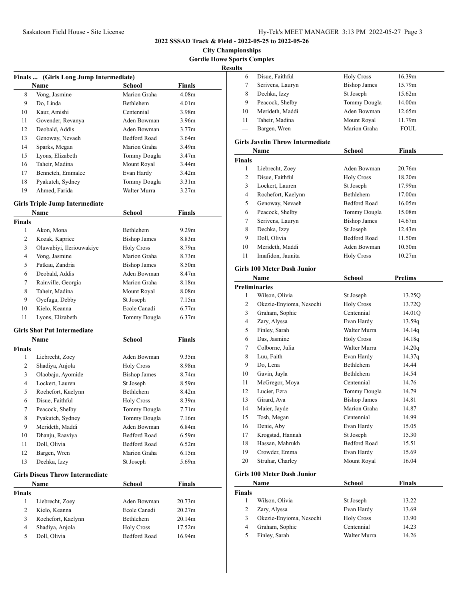## **City Championships Gordie Howe Sports Complex**

**Results**

|               | Finals  (Girls Long Jump Intermediate)         |                     |                   |
|---------------|------------------------------------------------|---------------------|-------------------|
|               | Name                                           | School              | <b>Finals</b>     |
| 8             | Vong, Jasmine                                  | Marion Graha        | 4.08 <sub>m</sub> |
| 9             | Do, Linda                                      | Bethlehem           | 4.01m             |
| 10            | Kaur, Amishi                                   | Centennial          | 3.98m             |
| 11            | Govender, Revanya                              | Aden Bowman         | 3.96m             |
| 12            | Deobald, Addis                                 | Aden Bowman         | 3.77 <sub>m</sub> |
| 13            | Genoway, Nevaeh                                | <b>Bedford Road</b> | 3.64 <sub>m</sub> |
| 14            | Sparks, Megan                                  | Marion Graha        | 3.49m             |
| 15            | Lyons, Elizabeth                               | Tommy Dougla        | 3.47m             |
| 16            | Taheir, Madina                                 | Mount Royal         | 3.44m             |
| 17            | Bennetch, Emmalee                              | Evan Hardy          | 3.42 <sub>m</sub> |
| 18            | Pyakutch, Sydney                               | Tommy Dougla        | 3.31 <sub>m</sub> |
| 19            | Ahmed, Farida                                  | Walter Murra        | 3.27 <sub>m</sub> |
|               | <b>Girls Triple Jump Intermediate</b>          |                     |                   |
|               | Name                                           | <b>School</b>       | <b>Finals</b>     |
| <b>Finals</b> |                                                |                     |                   |
| 1             | Akon, Mona                                     | Bethlehem           | 9.29m             |
| 2             | Kozak, Kaprice                                 | <b>Bishop James</b> | 8.83 <sub>m</sub> |
| 3             | Oluwabiyi, Ileriouwakiye                       | <b>Holy Cross</b>   | 8.79m             |
| 4             | Vong, Jasmine                                  | Marion Graha        | 8.73 <sub>m</sub> |
| 5             | Patkau, Zandria                                | <b>Bishop James</b> | 8.50m             |
| 6             | Deobald, Addis                                 | Aden Bowman         | 8.47m             |
| 7             | Rainville, Georgia                             | Marion Graha        | 8.18m             |
| 8             | Taheir, Madina                                 | Mount Royal         | 8.08 <sub>m</sub> |
| 9             | Oyefuga, Debby                                 | St Joseph           | 7.15m             |
| 10            | Kielo, Keanna                                  | Ecole Canadi        | 6.77m             |
| 11            | Lyons, Elizabeth                               | Tommy Dougla        | 6.37m             |
|               | <b>Girls Shot Put Intermediate</b>             |                     |                   |
|               | Name                                           | School              | <b>Finals</b>     |
| <b>Finals</b> |                                                |                     |                   |
| 1             | Liebrecht, Zoey                                | Aden Bowman         | 9.35m             |
| 2             | Shadiya, Anjola                                | <b>Holy Cross</b>   | 8.98m             |
| 3             | Olaobaju, Ayomide                              | <b>Bishop James</b> | 8.74m             |
| 4             | Lockert, Lauren                                | St Joseph           | 8.59m             |
| 5             | Rochefort, Kaelynn                             | Bethlehem           | 8.42m             |
| 6             | Disue, Faithful                                | <b>Holy Cross</b>   | 8.39m             |
| $\mathcal{L}$ | Peacock, Shelby                                | Tommy Dougla        | 7.71m             |
| 8             | Pyakutch, Sydney                               | Tommy Dougla        | 7.16m             |
| 9             | Merideth, Maddi                                | Aden Bowman         | 6.84m             |
| 10            | Dhanju, Raaviya                                | Bedford Road        | 6.59m             |
| 11            | Doll, Olivia                                   | <b>Bedford Road</b> | 6.52m             |
| 12            | Bargen, Wren                                   | Marion Graha        | 6.15m             |
| 13            | Dechka, Izzy                                   | St Joseph           | 5.69m             |
|               |                                                |                     |                   |
|               | <b>Girls Discus Throw Intermediate</b><br>Name | <b>School</b>       | <b>Finals</b>     |
| <b>Finals</b> |                                                |                     |                   |
| 1             | Liebrecht, Zoey                                | Aden Bowman         | 20.73m            |
| 2             | Kielo, Keanna                                  | Ecole Canadi        | 20.27m            |
| 3             | Rochefort, Kaelynn                             | Bethlehem           | 20.14m            |
| 4             | Shadiya, Anjola                                | <b>Holy Cross</b>   | 17.52m            |
| 5             | Doll, Olivia                                   | Bedford Road        | 16.94m            |
|               |                                                |                     |                   |

| s  |                  |                     |             |
|----|------------------|---------------------|-------------|
| 6  | Disue, Faithful  | <b>Holy Cross</b>   | 16.39m      |
|    | Scrivens, Lauryn | <b>Bishop James</b> | 15.79m      |
| 8  | Dechka, Izzy     | St Joseph           | 15.62m      |
| 9  | Peacock, Shelby  | Tommy Dougla        | 14.00m      |
| 10 | Merideth, Maddi  | Aden Bowman         | 12.65m      |
| 11 | Taheir, Madina   | Mount Royal         | 11.79m      |
|    | Bargen, Wren     | Marion Graha        | <b>FOUL</b> |
|    |                  |                     |             |

#### **Girls Javelin Throw Intermediate**

|               | Name               | <b>School</b>       | <b>Finals</b>      |  |
|---------------|--------------------|---------------------|--------------------|--|
| <b>Finals</b> |                    |                     |                    |  |
| 1             | Liebrecht, Zoey    | Aden Bowman         | 20.76m             |  |
| 2             | Disue, Faithful    | <b>Holy Cross</b>   | 18.20m             |  |
| 3             | Lockert, Lauren    | St Joseph           | 17.99m             |  |
| 4             | Rochefort, Kaelynn | Bethlehem           | 17.00 <sub>m</sub> |  |
| 5             | Genoway, Nevaeh    | <b>Bedford Road</b> | 16.05m             |  |
| 6             | Peacock, Shelby    | Tommy Dougla        | 15.08 <sub>m</sub> |  |
| 7             | Scrivens, Lauryn   | <b>Bishop James</b> | 14.67m             |  |
| 8             | Dechka, Izzy       | St Joseph           | 12.43m             |  |
| 9             | Doll, Olivia       | <b>Bedford Road</b> | 11.50m             |  |
| 10            | Merideth, Maddi    | Aden Bowman         | 10.50 <sub>m</sub> |  |
| 11            | Imafidon, Jaunita  | <b>Holy Cross</b>   | 10.27m             |  |
|               |                    |                     |                    |  |

#### **Girls 100 Meter Dash Junior**

|               | Name                               | <b>School</b>       | <b>Prelims</b> |
|---------------|------------------------------------|---------------------|----------------|
|               | <b>Preliminaries</b>               |                     |                |
| 1             | Wilson, Olivia                     | St Joseph           | 13.25Q         |
| 2             | Okezie-Envioma, Nesochi            | <b>Holy Cross</b>   | 13.72Q         |
| 3             | Graham, Sophie                     | Centennial          | 14.01Q         |
| 4             | Zary, Alyssa                       | Evan Hardy          | 13.59q         |
| 5             | Finley, Sarah                      | Walter Murra        | 14.14q         |
| 6             | Das, Jasmine                       | <b>Holy Cross</b>   | 14.18q         |
| 7             | Colborne, Julia                    | Walter Murra        | 14.20q         |
| 8             | Luu. Faith                         | Evan Hardy          | 14.37q         |
| 9             | Do, Lena                           | <b>Bethlehem</b>    | 14.44          |
| 10            | Gavin, Jayla                       | <b>Bethlehem</b>    | 14.54          |
| 11            | McGregor, Moya                     | Centennial          | 14.76          |
| 12            | Lucier, Ezra                       | Tommy Dougla        | 14.79          |
| 13            | Girard, Ava                        | <b>Bishop James</b> | 14.81          |
| 14            | Maier, Jayde                       | Marion Graha        | 14.87          |
| 15            | Tosh, Megan                        | Centennial          | 14.99          |
| 16            | Denie, Aby                         | Evan Hardy          | 15.05          |
| 17            | Krogstad, Hannah                   | St Joseph           | 15.30          |
| 18            | Hassan, Mahrukh                    | <b>Bedford Road</b> | 15.51          |
| 19            | Crowder, Emma                      | Evan Hardy          | 15.69          |
| 20            | Struhar, Charley                   | Mount Royal         | 16.04          |
|               | <b>Girls 100 Meter Dash Junior</b> |                     |                |
|               | Name                               | School              | Finals         |
| <b>Finals</b> |                                    |                     |                |
| 1             | Wilson, Olivia                     | St Joseph           | 13.22          |
| 2             | Zary, Alyssa                       | Evan Hardy          | 13.69          |
| 3             | Okezie-Enyioma, Nesochi            | <b>Holy Cross</b>   | 13.90          |
| 4             | Graham, Sophie                     | Centennial          | 14.23          |

Finley, Sarah Walter Murra 14.26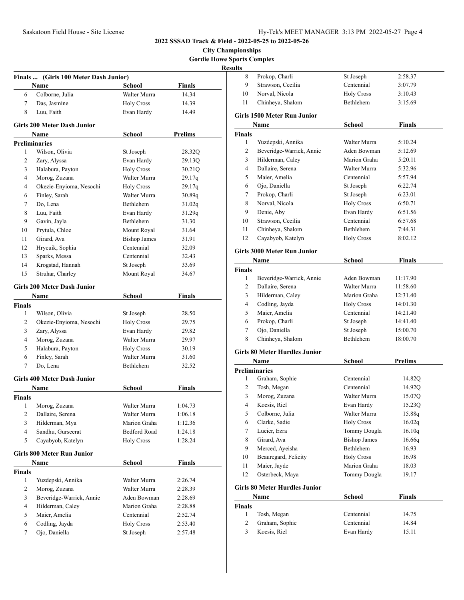**City Championships Gordie Howe Sports Complex**

|                    | Finals  (Girls 100 Meter Dash Junior) |                     |               |
|--------------------|---------------------------------------|---------------------|---------------|
|                    | Name                                  | School              | <b>Finals</b> |
| 6                  | Colborne, Julia                       | Walter Murra        | 14.34         |
| 7                  | Das, Jasmine                          | <b>Holy Cross</b>   | 14.39         |
| 8                  | Luu, Faith                            | Evan Hardy          | 14.49         |
|                    | <b>Girls 200 Meter Dash Junior</b>    |                     |               |
|                    | Name                                  | School              | Prelims       |
|                    | <b>Preliminaries</b>                  |                     |               |
| 1                  | Wilson, Olivia                        | St Joseph           | 28.32Q        |
| 2                  | Zary, Alyssa                          | Evan Hardy          | 29.13Q        |
| 3                  | Halabura, Payton                      | <b>Holy Cross</b>   | 30.21Q        |
| 4                  | Morog, Zuzana                         | Walter Murra        | 29.17q        |
| 4                  | Okezie-Enyioma, Nesochi               | <b>Holy Cross</b>   | 29.17q        |
| 6                  | Finley, Sarah                         | Walter Murra        | 30.89q        |
| 7                  | Do, Lena                              | Bethlehem           | 31.02q        |
| 8                  | Luu, Faith                            | Evan Hardy          | 31.29q        |
| 9                  | Gavin, Jayla                          | Bethlehem           | 31.30         |
| 10                 | Prytula, Chloe                        | Mount Royal         | 31.64         |
| 11                 | Girard, Ava                           | <b>Bishop James</b> | 31.91         |
| 12                 | Hrycuik, Sophia                       | Centennial          | 32.09         |
| 13                 | Sparks, Messa                         | Centennial          | 32.43         |
| 14                 | Krogstad, Hannah                      | St Joseph           | 33.69         |
| 15                 | Struhar, Charley                      | Mount Royal         | 34.67         |
|                    | <b>Girls 200 Meter Dash Junior</b>    |                     |               |
|                    | Name                                  | School              | <b>Finals</b> |
| <b>Finals</b>      |                                       |                     |               |
| 1                  | Wilson, Olivia                        | St Joseph           | 28.50         |
| 2                  | Okezie-Enyioma, Nesochi               | <b>Holy Cross</b>   | 29.75         |
| 3                  | Zary, Alyssa                          | Evan Hardy          | 29.82         |
| 4                  | Morog, Zuzana                         | Walter Murra        | 29.97         |
| 5                  | Halabura, Payton                      | <b>Holy Cross</b>   | 30.19         |
| 6                  | Finley, Sarah                         | Walter Murra        | 31.60         |
| 7                  | Do, Lena                              | Bethlehem           | 32.52         |
|                    | <b>Girls 400 Meter Dash Junior</b>    |                     |               |
|                    | Name                                  | School              | <b>Finals</b> |
| <b>Finals</b>      |                                       |                     |               |
|                    | 1 Morog, Zuzana                       | Walter Murra        | 1:04.73       |
| 2                  | Dallaire, Serena                      | Walter Murra        | 1:06.18       |
| 3                  | Hilderman, Mya                        | Marion Graha        | 1:12.36       |
| $\overline{4}$     | Sandhu, Gurseerat                     | Bedford Road        | 1:24.18       |
| 5                  | Cayabyob, Katelyn                     | <b>Holy Cross</b>   | 1:28.24       |
|                    | <b>Girls 800 Meter Run Junior</b>     |                     |               |
|                    | Name                                  | School              | <b>Finals</b> |
| <b>Finals</b><br>1 | Yuzdepski, Annika                     |                     |               |
|                    |                                       | Walter Murra        | 2:26.74       |
| 2                  | Morog, Zuzana                         | Walter Murra        | 2:28.39       |
| 3                  | Beveridge-Warrick, Annie              | Aden Bowman         | 2:28.69       |
| 4                  | Hilderman, Caley                      | Marion Graha        | 2:28.88       |
| 5                  | Maier, Amelia                         | Centennial          | 2:52.74       |
| 6                  | Codling, Jayda                        | <b>Holy Cross</b>   | 2:53.40       |
| 7                  | Ojo, Daniella                         | St Joseph           | 2:57.48       |

| ults           |                                      |                     |                |
|----------------|--------------------------------------|---------------------|----------------|
| 8              | Prokop, Charli                       | St Joseph           | 2:58.37        |
| 9              | Strawson, Cecilia                    | Centennial          | 3:07.79        |
| 10             | Norval. Nicola                       | <b>Holy Cross</b>   | 3:10.43        |
| 11             | Chinheya, Shalom                     | Bethlehem           | 3:15.69        |
|                | <b>Girls 1500 Meter Run Junior</b>   |                     |                |
|                | Name                                 | School              | Finals         |
| <b>Finals</b>  |                                      |                     |                |
| 1              | Yuzdepski, Annika                    | Walter Murra        | 5:10.24        |
| 2              | Beveridge-Warrick, Annie             | Aden Bowman         | 5:12.69        |
| 3              | Hilderman, Caley                     | Marion Graha        | 5:20.11        |
| 4              | Dallaire, Serena                     | Walter Murra        | 5:32.96        |
| 5              | Maier, Amelia                        | Centennial          | 5:57.94        |
| 6              | Ojo, Daniella                        | St Joseph           | 6:22.74        |
| 7              | Prokop, Charli                       | St Joseph           | 6:23.01        |
| 8              | Norval, Nicola                       | <b>Holy Cross</b>   | 6:50.71        |
| 9              | Denie, Aby                           | Evan Hardy          | 6:51.56        |
| 10             | Strawson, Cecilia                    | Centennial          | 6:57.68        |
| 11             | Chinheya, Shalom                     | <b>Bethlehem</b>    | 7:44.31        |
| 12             | Cayabyob, Katelyn                    | <b>Holy Cross</b>   | 8:02.12        |
|                | Girls 3000 Meter Run Junior          |                     |                |
|                | Name                                 | School              | Finals         |
| <b>Finals</b>  |                                      |                     |                |
| 1              | Beveridge-Warrick, Annie             | Aden Bowman         | 11:17.90       |
| $\overline{2}$ | Dallaire, Serena                     | Walter Murra        | 11:58.60       |
| 3              | Hilderman, Caley                     | Marion Graha        | 12:31.40       |
| 4              | Codling, Jayda                       | <b>Holy Cross</b>   | 14:01.30       |
| 5              | Maier, Amelia                        | Centennial          | 14:21.40       |
| 6              | Prokop, Charli                       | St Joseph           | 14:41.40       |
| 7              | Ojo, Daniella                        | St Joseph           | 15:00.70       |
| 8              | Chinheya, Shalom                     | Bethlehem           | 18:00.70       |
|                | <b>Girls 80 Meter Hurdles Junior</b> |                     |                |
|                | Name                                 | School              | <b>Prelims</b> |
|                | <b>Preliminaries</b>                 |                     |                |
| 1              | Graham, Sophie                       | Centennial          | 14.82Q         |
| 2              | Tosh, Megan                          | Centennial          | 14.92Q         |
| 3              | Morog, Zuzana                        | Walter Murra        | 15.07Q         |
| 4              | Kocsis, Riel                         | Evan Hardy          | 15.23Q         |
| 5              | Colborne, Julia                      | Walter Murra        | 15.88q         |
| 6              | Clarke, Sadie                        | <b>Holy Cross</b>   | 16.02q         |
| 7              | Lucier, Ezra                         | Tommy Dougla        | 16.10q         |
| 8              | Girard, Ava                          | <b>Bishop James</b> | 16.66q         |
| 9              | Merced, Ayeisha                      | Bethlehem           | 16.93          |
| 10             | Beauregard, Felicity                 | <b>Holy Cross</b>   | 16.98          |
| 11             | Maier, Jayde                         | Marion Graha        | 18.03          |
| 12             | Osterbeck, Maya                      | Tommy Dougla        | 19.17          |
|                | <b>Girls 80 Meter Hurdles Junior</b> |                     |                |

| ніз обласся тіші шез эшшог |        |               |
|----------------------------|--------|---------------|
| Name                       | School | <b>Finals</b> |

| Name          |                | School     | Finals |  |
|---------------|----------------|------------|--------|--|
| <b>Finals</b> |                |            |        |  |
|               | Tosh, Megan    | Centennial | 14.75  |  |
|               | Graham, Sophie | Centennial | 14.84  |  |
| 3             | Kocsis, Riel   | Evan Hardy | 15.11  |  |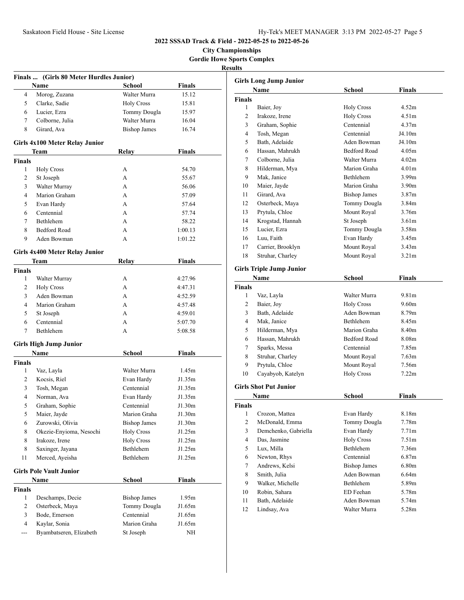**City Championships Gordie Howe Sports Complex**

| Finals  (Girls 80 Meter Hurdles Junior) |                                |                     |               |  |
|-----------------------------------------|--------------------------------|---------------------|---------------|--|
|                                         | <b>Name</b>                    | School              | Finals        |  |
| 4                                       | Morog, Zuzana                  | Walter Murra        | 15.12         |  |
| 5                                       | Clarke, Sadie                  | <b>Holy Cross</b>   | 15.81         |  |
| 6                                       | Lucier, Ezra                   | Tommy Dougla        | 15.97         |  |
| 7                                       | Colborne, Julia                | Walter Murra        | 16.04         |  |
| 8                                       | Girard, Ava                    | <b>Bishop James</b> | 16.74         |  |
|                                         | Girls 4x100 Meter Relay Junior |                     |               |  |
|                                         | Team                           | Relay               | Finals        |  |
| <b>Finals</b>                           |                                |                     |               |  |
| $\mathbf{1}$                            | <b>Holy Cross</b>              | A                   | 54.70         |  |
| 2                                       | St Joseph                      | A                   | 55.67         |  |
| 3                                       | Walter Murray                  | A                   | 56.06         |  |
| 4                                       | Marion Graham                  | A                   | 57.09         |  |
| 5                                       | Evan Hardy                     | A                   | 57.64         |  |
| 6                                       | Centennial                     | A                   | 57.74         |  |
| 7                                       | <b>Bethlehem</b>               | A                   | 58.22         |  |
| 8                                       | <b>Bedford Road</b>            | A                   | 1:00.13       |  |
| 9                                       | Aden Bowman                    | A                   | 1:01.22       |  |
|                                         |                                |                     |               |  |
|                                         | Girls 4x400 Meter Relay Junior |                     |               |  |
|                                         | Team                           | Relay               | <b>Finals</b> |  |
| Finals                                  |                                |                     |               |  |
| 1                                       | Walter Murray                  | A                   | 4:27.96       |  |
| 2                                       | <b>Holy Cross</b>              | A                   | 4:47.31       |  |
| 3                                       | Aden Bowman                    | A                   | 4:52.59       |  |
| 4                                       | Marion Graham                  | A                   | 4:57.48       |  |
| 5                                       | St Joseph                      | A                   | 4:59.01       |  |
| 6                                       | Centennial                     | A                   | 5:07.70       |  |
| 7                                       | Bethlehem                      | A                   | 5:08.58       |  |
|                                         | <b>Girls High Jump Junior</b>  |                     |               |  |
|                                         | Name                           | School              | <b>Finals</b> |  |
| Finals                                  |                                |                     |               |  |
| 1                                       | Vaz, Layla                     | Walter Murra        | 1.45m         |  |
| $\overline{2}$                          | Kocsis, Riel                   | Evan Hardy          | J1.35m        |  |
| 3                                       | Tosh, Megan                    | Centennial          | J1.35m        |  |
| 4                                       | Norman, Ava                    | Evan Hardy          | J1.35m        |  |
| 5                                       | Graham, Sophie                 | Centennial          | J1.30m        |  |
| 5                                       | Maier, Jayde                   | Marion Graha        | J1.30m        |  |
| 6                                       | Zurowski, Olivia               | <b>Bishop James</b> | J1.30m        |  |
| 8                                       | Okezie-Enyioma, Nesochi        | <b>Holy Cross</b>   | J1.25m        |  |
| 8                                       | Irakoze, Irene                 | <b>Holy Cross</b>   | J1.25m        |  |
| 8                                       | Saxinger, Jayana               | Bethlehem           | J1.25m        |  |
| 11                                      | Merced, Ayeisha                | Bethlehem           | J1.25m        |  |
|                                         | <b>Girls Pole Vault Junior</b> |                     |               |  |
|                                         | Name                           | <b>School</b>       | <b>Finals</b> |  |
| <b>Finals</b>                           |                                |                     |               |  |
| 1                                       | Deschamps, Decie               | <b>Bishop James</b> | 1.95m         |  |
| 2                                       | Osterbeck, Maya                | Tommy Dougla        | J1.65m        |  |
| 3                                       | Bode, Emerson                  | Centennial          | J1.65m        |  |
| $\overline{4}$                          | Kaylar, Sonia                  | Marion Graha        | J1.65m        |  |
| ---                                     | Byambatseren, Elizabeth        | St Joseph           | ΝH            |  |

|                | <b>Girls Long Jump Junior</b>   |                             |                   |
|----------------|---------------------------------|-----------------------------|-------------------|
|                | Name                            | School                      | Finals            |
| <b>Finals</b>  |                                 |                             |                   |
| 1              | Baier, Joy                      | <b>Holy Cross</b>           | 4.52m             |
| 2              | Irakoze, Irene                  | <b>Holy Cross</b>           | 4.51 <sub>m</sub> |
| 3              | Graham, Sophie                  | Centennial                  | 4.37m             |
| 4              | Tosh, Megan                     | Centennial                  | J4.10m            |
| 5              | Bath, Adelaide                  | Aden Bowman                 | J4.10m            |
| 6              | Hassan, Mahrukh                 | <b>Bedford Road</b>         | 4.05m             |
| 7              | Colborne, Julia                 | Walter Murra                | 4.02m             |
| 8              | Hilderman, Mya                  | Marion Graha                | 4.01 <sub>m</sub> |
| 9              | Mak, Janice                     | <b>Bethlehem</b>            | 3.99 <sub>m</sub> |
| 10             | Maier, Jayde                    | Marion Graha                | 3.90 <sub>m</sub> |
| 11             | Girard, Ava                     | <b>Bishop James</b>         | 3.87 <sub>m</sub> |
| 12             | Osterbeck, Maya                 | Tommy Dougla                | 3.84m             |
| 13             | Prytula, Chloe                  | Mount Royal                 | 3.76m             |
| 14             | Krogstad, Hannah                | St Joseph                   | 3.61 <sub>m</sub> |
| 15             | Lucier, Ezra                    | Tommy Dougla                | 3.58m             |
| 16             | Luu, Faith                      | Evan Hardy                  | 3.45m             |
| 17             | Carrier, Brooklyn               | Mount Royal                 | 3.43 <sub>m</sub> |
| 18             | Struhar, Charley                | Mount Royal                 | 3.21 <sub>m</sub> |
|                |                                 |                             |                   |
|                | <b>Girls Triple Jump Junior</b> |                             |                   |
|                | Name                            | <b>School</b>               | <b>Finals</b>     |
| <b>Finals</b>  |                                 |                             |                   |
| 1              | Vaz, Layla                      | Walter Murra                | 9.81m             |
| 2              | Baier, Joy                      | <b>Holy Cross</b>           | 9.60m             |
| 3              | Bath, Adelaide                  | Aden Bowman                 | 8.79m             |
| 4              | Mak, Janice                     | Bethlehem                   | 8.45m             |
| 5              | Hilderman, Mya                  | Marion Graha                | 8.40 <sub>m</sub> |
| 6              | Hassan, Mahrukh                 | <b>Bedford Road</b>         | 8.08m             |
| 7              | Sparks, Messa                   | Centennial                  | 7.85m             |
| 8              | Struhar, Charley                | Mount Royal                 | 7.63 <sub>m</sub> |
| 9              | Prytula, Chloe                  | Mount Royal                 | 7.56m             |
| 10             | Cayabyob, Katelyn               | <b>Holy Cross</b>           | 7.22m             |
|                |                                 |                             |                   |
|                | <b>Girls Shot Put Junior</b>    |                             |                   |
|                | Name                            | School                      | Finals            |
| <b>Finals</b>  |                                 |                             |                   |
| 1              | Crozon, Mattea                  | Evan Hardy                  | 8.18m             |
| $\overline{c}$ | McDonald, Emma                  | Tommy Dougla                | 7.78m             |
| 3              | Demchenko, Gabriella            | Evan Hardy                  | 7.71 <sub>m</sub> |
| $\overline{4}$ | Das, Jasmine                    | <b>Holy Cross</b>           | 7.51 <sub>m</sub> |
| 5              | Lux, Milla                      | Bethlehem                   | 7.36m             |
| 6              | Newton, Rhys                    | Centennial                  | 6.87 <sub>m</sub> |
| 7              | Andrews, Kelsi                  | <b>Bishop James</b>         | 6.80m             |
| 8              | Smith, Julia                    | Aden Bowman                 | 6.64m             |
| 9              | Walker, Michelle                | Bethlehem                   | 5.89m             |
|                |                                 |                             |                   |
| 10             | Robin, Sahara                   | ED Feehan                   | 5.78m             |
| 11             | Bath, Adelaide<br>Lindsay, Ava  | Aden Bowman<br>Walter Murra | 5.74m             |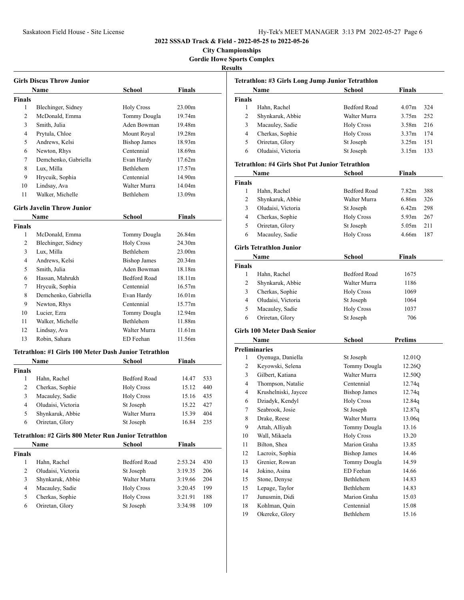**City Championships Gordie Howe Sports Complex**

| <b>Girls Discus Throw Junior</b> |                                                       |                     |                    |     |  |
|----------------------------------|-------------------------------------------------------|---------------------|--------------------|-----|--|
|                                  | Name                                                  | School              | Finals             |     |  |
| <b>Finals</b>                    |                                                       |                     |                    |     |  |
| 1                                | Blechinger, Sidney                                    | <b>Holy Cross</b>   | 23.00m             |     |  |
| 2                                | McDonald, Emma                                        | Tommy Dougla        | 19.74m             |     |  |
| 3                                | Smith, Julia                                          | Aden Bowman         | 19.48m             |     |  |
| 4                                | Prytula, Chloe                                        | Mount Royal         | 19.28m             |     |  |
| 5                                | Andrews, Kelsi                                        | <b>Bishop James</b> | 18.93m             |     |  |
| 6                                | Newton, Rhys                                          | Centennial          | 18.69m             |     |  |
| 7                                | Demchenko, Gabriella                                  | Evan Hardy          | 17.62m             |     |  |
| 8                                | Lux, Milla                                            | <b>Bethlehem</b>    | 17.57m             |     |  |
| 9                                | Hrycuik, Sophia                                       | Centennial          | 14.90m             |     |  |
| 10                               | Lindsay, Ava                                          | Walter Murra        | 14.04m             |     |  |
| 11                               | Walker, Michelle                                      | <b>Bethlehem</b>    | 13.09m             |     |  |
|                                  | <b>Girls Javelin Throw Junior</b>                     |                     |                    |     |  |
|                                  | Name                                                  | School              | Finals             |     |  |
|                                  |                                                       |                     |                    |     |  |
| <b>Finals</b><br>1               | McDonald, Emma                                        | Tommy Dougla        | 26.84m             |     |  |
| 2                                |                                                       | <b>Holy Cross</b>   | 24.30m             |     |  |
| 3                                | Blechinger, Sidney                                    | <b>Bethlehem</b>    | 23.00m             |     |  |
|                                  | Lux, Milla<br>Andrews, Kelsi                          |                     | 20.34m             |     |  |
| 4                                |                                                       | <b>Bishop James</b> |                    |     |  |
| 5                                | Smith, Julia                                          | Aden Bowman         | 18.18m             |     |  |
| 6                                | Hassan, Mahrukh                                       | <b>Bedford Road</b> | 18.11m             |     |  |
| 7                                | Hrycuik, Sophia                                       | Centennial          | 16.57m             |     |  |
| 8                                | Demchenko, Gabriella                                  | Evan Hardy          | 16.01 <sub>m</sub> |     |  |
| 9                                | Newton, Rhys                                          | Centennial          | 15.77m             |     |  |
| 10                               | Lucier, Ezra                                          | Tommy Dougla        | 12.94m             |     |  |
| 11                               | Walker, Michelle                                      | Bethlehem           | 11.88m             |     |  |
| 12                               | Lindsay, Ava                                          | Walter Murra        | 11.61m             |     |  |
| 13                               | Robin, Sahara                                         | ED Feehan           | 11.56m             |     |  |
|                                  | Tetrathlon: #1 Girls 100 Meter Dash Junior Tetrathlon |                     |                    |     |  |
|                                  | Name                                                  | School              | <b>Finals</b>      |     |  |
| <b>Finals</b>                    |                                                       |                     |                    |     |  |
| 1                                | Hahn, Rachel                                          | <b>Bedford Road</b> | 14.47              | 533 |  |
| $\overline{2}$                   | Cherkas, Sophie                                       | <b>Holy Cross</b>   | 15.12              | 440 |  |
| 3                                | Macauley, Sadie                                       | <b>Holy Cross</b>   | 15.16              | 435 |  |
| 4                                | Oludaisi, Victoria                                    | St Joseph           | 15.22              | 427 |  |
| 5                                | Shynkaruk, Abbie                                      | Walter Murra        | 15.39              | 404 |  |
| 6                                | Oriretan, Glory                                       | St Joseph           | 16.84              | 235 |  |
|                                  | Tetrathlon: #2 Girls 800 Meter Run Junior Tetrathlon  |                     |                    |     |  |
|                                  | Name                                                  | School              | Finals             |     |  |
| <b>Finals</b>                    |                                                       |                     |                    |     |  |
| $\mathbf{1}$                     | Hahn, Rachel                                          | Bedford Road        | 2:53.24            | 430 |  |
| 2                                | Oludaisi, Victoria                                    | St Joseph           | 3:19.35            | 206 |  |
| 3                                | Shynkaruk, Abbie                                      | Walter Murra        | 3:19.66            | 204 |  |
| 4                                | Macauley, Sadie                                       | <b>Holy Cross</b>   | 3:20.45            | 199 |  |
| 5                                | Cherkas, Sophie                                       | <b>Holy Cross</b>   | 3:21.91            | 188 |  |
| 6                                | Oriretan, Glory                                       | St Joseph           | 3:34.98            | 109 |  |
|                                  |                                                       |                     |                    |     |  |
|                                  |                                                       |                     |                    |     |  |

| Tetrathlon: #3 Girls Long Jump Junior Tetrathlon |                                                 |                     |                          |  |
|--------------------------------------------------|-------------------------------------------------|---------------------|--------------------------|--|
|                                                  | Name                                            | School              | Finals                   |  |
| <b>Finals</b>                                    |                                                 |                     |                          |  |
| 1                                                | Hahn, Rachel                                    | Bedford Road        | 4.07 <sub>m</sub><br>324 |  |
| 2                                                | Shynkaruk, Abbie                                | Walter Murra        | 3.75m<br>252             |  |
| 3                                                | Macauley, Sadie                                 | <b>Holy Cross</b>   | 216<br>3.58 <sub>m</sub> |  |
| 4                                                | Cherkas, Sophie                                 | <b>Holy Cross</b>   | 3.37 <sub>m</sub><br>174 |  |
| 5                                                | Oriretan, Glory                                 | St Joseph           | 3.25m<br>151             |  |
| 6                                                | Oludaisi, Victoria                              | St Joseph           | 3.15m<br>133             |  |
|                                                  | Tetrathlon: #4 Girls Shot Put Junior Tetrathlon |                     |                          |  |
|                                                  | Name                                            | School              | <b>Finals</b>            |  |
| Finals                                           |                                                 |                     |                          |  |
| 1                                                | Hahn, Rachel                                    | Bedford Road        | 7.82 <sub>m</sub><br>388 |  |
| 2                                                | Shynkaruk, Abbie                                | Walter Murra        | 6.86m<br>326             |  |
| 3                                                | Oludaisi, Victoria                              | St Joseph           | 6.42m<br>298             |  |
| 4                                                | Cherkas, Sophie                                 | <b>Holy Cross</b>   | 5.93 <sub>m</sub><br>267 |  |
| 5                                                | Oriretan, Glory                                 | St Joseph           | 5.05 <sub>m</sub><br>211 |  |
| 6                                                | Macauley, Sadie                                 | <b>Holy Cross</b>   | 4.66m<br>187             |  |
|                                                  |                                                 |                     |                          |  |
|                                                  | <b>Girls Tetrathlon Junior</b>                  |                     |                          |  |
|                                                  | Name                                            | <b>School</b>       | Finals                   |  |
| <b>Finals</b>                                    |                                                 |                     |                          |  |
| 1                                                | Hahn, Rachel                                    | Bedford Road        | 1675                     |  |
| 2                                                | Shynkaruk, Abbie                                | Walter Murra        | 1186                     |  |
| 3                                                | Cherkas, Sophie                                 | <b>Holy Cross</b>   | 1069                     |  |
| 4                                                | Oludaisi, Victoria                              | St Joseph           | 1064                     |  |
| 5                                                | Macauley, Sadie                                 | <b>Holy Cross</b>   | 1037                     |  |
| 6                                                | Oriretan, Glory                                 | St Joseph           | 706                      |  |
|                                                  | <b>Girls 100 Meter Dash Senior</b>              |                     |                          |  |
|                                                  | Name                                            | <b>School</b>       | <b>Prelims</b>           |  |
| <b>Preliminaries</b>                             |                                                 |                     |                          |  |
| 1                                                | Oyenuga, Daniella                               | St Joseph           | 12.01Q                   |  |
| 2                                                | Keyowski, Selena                                | Tommy Dougla        | 12.26Q                   |  |
| 3                                                | Gilbert, Katiana                                | Walter Murra        | 12.50Q                   |  |
| 4                                                | Thompson, Natalie                               | Centennial          | 12.74q                   |  |
| 4                                                | Krushelniski, Jaycee                            | <b>Bishop James</b> | 12.74q                   |  |
| 6                                                | Dziadyk, Kendyl                                 | <b>Holy Cross</b>   | 12.84q                   |  |
| 7                                                | Seabrook. Josie                                 | St Joseph           | 12.87q                   |  |
| 8                                                | Drake, Reese                                    | Walter Murra        | 13.06q                   |  |
| 9                                                | Attah, Alliyah                                  | Tommy Dougla        | 13.16                    |  |
| 10                                               | Wall, Mikaela                                   | <b>Holy Cross</b>   | 13.20                    |  |
| 11                                               | Bilton, Shea                                    | Marion Graha        | 13.85                    |  |
| 12                                               | Lacroix, Sophia                                 | <b>Bishop James</b> | 14.46                    |  |
| 13                                               | Grenier, Rowan                                  | Tommy Dougla        | 14.59                    |  |
| 14                                               | Jokino, Asina                                   | ED Feehan           | 14.66                    |  |
| 15                                               | Stone, Denyse                                   | Bethlehem           | 14.83                    |  |
| 15                                               | Lepage, Taylor                                  | Bethlehem           | 14.83                    |  |
| 17                                               | Junusmin, Didi                                  | Marion Graha        | 15.03                    |  |
| 18                                               | Kohlman, Quin                                   | Centennial          | 15.08                    |  |
| 19                                               | Okereke, Glory                                  | Bethlehem           | 15.16                    |  |
|                                                  |                                                 |                     |                          |  |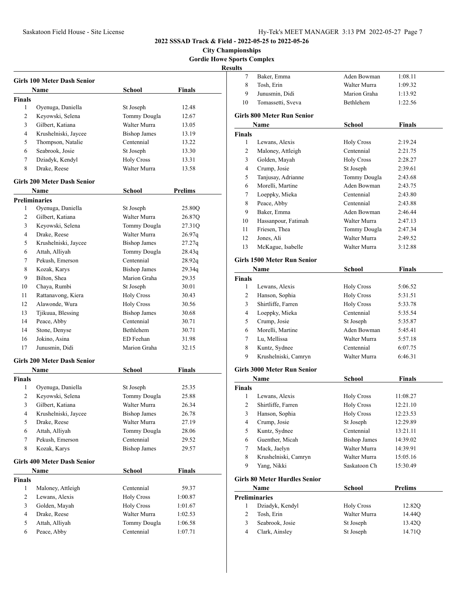**City Championships Gordie Howe Sports Complex**

| <b>Girls 100 Meter Dash Senior</b> |                                    |                     |                |  |
|------------------------------------|------------------------------------|---------------------|----------------|--|
|                                    | Name                               | School              | Finals         |  |
| <b>Finals</b>                      |                                    |                     |                |  |
| 1                                  | Oyenuga, Daniella                  | St Joseph           | 12.48          |  |
| 2                                  | Keyowski, Selena                   | Tommy Dougla        | 12.67          |  |
| 3                                  | Gilbert, Katiana                   | Walter Murra        | 13.05          |  |
| 4                                  | Krushelniski, Jaycee               | <b>Bishop James</b> | 13.19          |  |
| 5                                  | Thompson, Natalie                  | Centennial          | 13.22          |  |
| 6                                  | Seabrook, Josie                    | St Joseph           | 13.30          |  |
| 7                                  | Dziadyk, Kendyl                    | <b>Holy Cross</b>   | 13.31          |  |
| 8                                  | Drake, Reese                       | Walter Murra        | 13.58          |  |
|                                    | <b>Girls 200 Meter Dash Senior</b> |                     |                |  |
|                                    | Name                               | School              | <b>Prelims</b> |  |
| <b>Preliminaries</b>               |                                    |                     |                |  |
| 1                                  | Oyenuga, Daniella                  | St Joseph           | 25.80Q         |  |
| 2                                  | Gilbert, Katiana                   | Walter Murra        | 26.87Q         |  |
| 3                                  | Keyowski, Selena                   | Tommy Dougla        | 27.31O         |  |
| 4                                  | Drake, Reese                       | Walter Murra        | 26.97q         |  |
| 5                                  | Krushelniski, Jaycee               | <b>Bishop James</b> | 27.27q         |  |
| 6                                  | Attah, Alliyah                     | Tommy Dougla        | 28.43q         |  |
| 7                                  | Pekush, Emerson                    | Centennial          | 28.92q         |  |
| 8                                  | Kozak, Karys                       | <b>Bishop James</b> | 29.34q         |  |
| 9                                  | Bilton, Shea                       | Marion Graha        | 29.35          |  |
| 10                                 | Chaya, Rumbi                       | St Joseph           | 30.01          |  |
| 11                                 | Rattanavong, Kiera                 | <b>Holy Cross</b>   | 30.43          |  |
| 12                                 | Alawonde, Wura                     | <b>Holy Cross</b>   | 30.56          |  |
| 13                                 | Tjikuua, Blessing                  | <b>Bishop James</b> | 30.68          |  |
| 14                                 | Peace, Abby                        | Centennial          | 30.71          |  |
| 14                                 | Stone, Denyse                      | <b>Bethlehem</b>    | 30.71          |  |
| 16                                 | Jokino, Asina                      | ED Feehan           | 31.98          |  |
| 17                                 | Junusmin, Didi                     | Marion Graha        | 32.15          |  |
|                                    |                                    |                     |                |  |
|                                    | <b>Girls 200 Meter Dash Senior</b> |                     |                |  |
|                                    | Name                               | School              | Finals         |  |
| <b>Finals</b><br>1                 |                                    |                     |                |  |
|                                    | Oyenuga, Daniella                  | St Joseph           | 25.35          |  |
| 2                                  | Keyowski, Selena                   | Tommy Dougla        | 25.88          |  |
| 3                                  | Gilbert, Katiana                   | Walter Murra        | 26.34          |  |
| 4                                  | Krushelniski, Jaycee               | Bishop James        | 26.78          |  |
| 5                                  | Drake, Reese                       | Walter Murra        | 27.19          |  |
| 6                                  | Attah, Alliyah                     | Tommy Dougla        | 28.06          |  |
| 7                                  | Pekush, Emerson                    | Centennial          | 29.52          |  |
| 8                                  | Kozak, Karys                       | <b>Bishop James</b> | 29.57          |  |
|                                    | <b>Girls 400 Meter Dash Senior</b> |                     |                |  |
|                                    | <b>Name</b>                        | <b>School</b>       | <b>Finals</b>  |  |
| <b>Finals</b>                      |                                    |                     |                |  |
| 1                                  | Maloney, Attleigh                  | Centennial          | 59.37          |  |
| 2                                  | Lewans, Alexis                     | <b>Holy Cross</b>   | 1:00.87        |  |
| 3                                  | Golden, Mayah                      | <b>Holy Cross</b>   | 1:01.67        |  |
| 4                                  | Drake, Reese                       | Walter Murra        | 1:02.53        |  |
| 5                                  | Attah, Alliyah                     | Tommy Dougla        | 1:06.58        |  |
| 6                                  | Peace, Abby                        | Centennial          | 1:07.71        |  |

| Baker, Emma                          | Aden Bowman                                                                                                                                                                                                                                                                                                                                                                      | 1:08.11                                                                                                                                                                                                                               |
|--------------------------------------|----------------------------------------------------------------------------------------------------------------------------------------------------------------------------------------------------------------------------------------------------------------------------------------------------------------------------------------------------------------------------------|---------------------------------------------------------------------------------------------------------------------------------------------------------------------------------------------------------------------------------------|
| Tosh, Erin                           | Walter Murra                                                                                                                                                                                                                                                                                                                                                                     | 1:09.32                                                                                                                                                                                                                               |
| Junusmin, Didi                       | Marion Graha                                                                                                                                                                                                                                                                                                                                                                     | 1:13.92                                                                                                                                                                                                                               |
| Tomassetti, Sveva                    | Bethlehem                                                                                                                                                                                                                                                                                                                                                                        | 1:22.56                                                                                                                                                                                                                               |
|                                      |                                                                                                                                                                                                                                                                                                                                                                                  |                                                                                                                                                                                                                                       |
|                                      |                                                                                                                                                                                                                                                                                                                                                                                  | <b>Finals</b>                                                                                                                                                                                                                         |
|                                      |                                                                                                                                                                                                                                                                                                                                                                                  |                                                                                                                                                                                                                                       |
|                                      |                                                                                                                                                                                                                                                                                                                                                                                  | 2:19.24                                                                                                                                                                                                                               |
|                                      |                                                                                                                                                                                                                                                                                                                                                                                  | 2:21.75                                                                                                                                                                                                                               |
|                                      |                                                                                                                                                                                                                                                                                                                                                                                  | 2:28.27                                                                                                                                                                                                                               |
|                                      |                                                                                                                                                                                                                                                                                                                                                                                  | 2:39.61                                                                                                                                                                                                                               |
|                                      |                                                                                                                                                                                                                                                                                                                                                                                  | 2:43.68                                                                                                                                                                                                                               |
|                                      |                                                                                                                                                                                                                                                                                                                                                                                  | 2:43.75                                                                                                                                                                                                                               |
|                                      |                                                                                                                                                                                                                                                                                                                                                                                  | 2:43.80                                                                                                                                                                                                                               |
|                                      |                                                                                                                                                                                                                                                                                                                                                                                  | 2:43.88                                                                                                                                                                                                                               |
|                                      |                                                                                                                                                                                                                                                                                                                                                                                  | 2:46.44                                                                                                                                                                                                                               |
|                                      |                                                                                                                                                                                                                                                                                                                                                                                  | 2:47.13                                                                                                                                                                                                                               |
|                                      |                                                                                                                                                                                                                                                                                                                                                                                  | 2:47.34                                                                                                                                                                                                                               |
|                                      |                                                                                                                                                                                                                                                                                                                                                                                  | 2:49.52                                                                                                                                                                                                                               |
|                                      |                                                                                                                                                                                                                                                                                                                                                                                  | 3:12.88                                                                                                                                                                                                                               |
|                                      |                                                                                                                                                                                                                                                                                                                                                                                  |                                                                                                                                                                                                                                       |
|                                      |                                                                                                                                                                                                                                                                                                                                                                                  |                                                                                                                                                                                                                                       |
| Name                                 | <b>School</b>                                                                                                                                                                                                                                                                                                                                                                    | <b>Finals</b>                                                                                                                                                                                                                         |
|                                      |                                                                                                                                                                                                                                                                                                                                                                                  |                                                                                                                                                                                                                                       |
| Lewans, Alexis                       | <b>Holy Cross</b>                                                                                                                                                                                                                                                                                                                                                                | 5:06.52                                                                                                                                                                                                                               |
| Hanson, Sophia                       | <b>Holy Cross</b>                                                                                                                                                                                                                                                                                                                                                                | 5:31.51                                                                                                                                                                                                                               |
| Shirtliffe, Farren                   | <b>Holy Cross</b>                                                                                                                                                                                                                                                                                                                                                                | 5:33.78                                                                                                                                                                                                                               |
| Loeppky, Mieka                       | Centennial                                                                                                                                                                                                                                                                                                                                                                       | 5:35.54                                                                                                                                                                                                                               |
|                                      | St Joseph                                                                                                                                                                                                                                                                                                                                                                        | 5:35.87                                                                                                                                                                                                                               |
|                                      | Aden Bowman                                                                                                                                                                                                                                                                                                                                                                      | 5:45.41                                                                                                                                                                                                                               |
|                                      |                                                                                                                                                                                                                                                                                                                                                                                  | 5:57.18                                                                                                                                                                                                                               |
|                                      | Centennial                                                                                                                                                                                                                                                                                                                                                                       | 6:07.75                                                                                                                                                                                                                               |
| Kuntz, Sydnee                        |                                                                                                                                                                                                                                                                                                                                                                                  |                                                                                                                                                                                                                                       |
| Krushelniski, Camryn                 | Walter Murra                                                                                                                                                                                                                                                                                                                                                                     | 6:46.31                                                                                                                                                                                                                               |
| <b>Girls 3000 Meter Run Senior</b>   |                                                                                                                                                                                                                                                                                                                                                                                  |                                                                                                                                                                                                                                       |
| Name                                 | School                                                                                                                                                                                                                                                                                                                                                                           | <b>Finals</b>                                                                                                                                                                                                                         |
|                                      |                                                                                                                                                                                                                                                                                                                                                                                  |                                                                                                                                                                                                                                       |
| Lewans, Alexis                       | <b>Holy Cross</b>                                                                                                                                                                                                                                                                                                                                                                | 11:08.27                                                                                                                                                                                                                              |
| Shirtliffe, Farren                   | <b>Holy Cross</b>                                                                                                                                                                                                                                                                                                                                                                | 12:21.10                                                                                                                                                                                                                              |
| Hanson, Sophia                       | <b>Holy Cross</b>                                                                                                                                                                                                                                                                                                                                                                | 12:23.53                                                                                                                                                                                                                              |
| Crump, Josie                         | St Joseph                                                                                                                                                                                                                                                                                                                                                                        | 12:29.89                                                                                                                                                                                                                              |
| Kuntz, Sydnee                        | Centennial                                                                                                                                                                                                                                                                                                                                                                       | 13:21.11                                                                                                                                                                                                                              |
| Guenther, Micah                      | <b>Bishop James</b>                                                                                                                                                                                                                                                                                                                                                              | 14:39.02                                                                                                                                                                                                                              |
| Mack, Jaelyn                         | Walter Murra                                                                                                                                                                                                                                                                                                                                                                     | 14:39.91                                                                                                                                                                                                                              |
| Krushelniski, Camryn                 | Walter Murra                                                                                                                                                                                                                                                                                                                                                                     | 15:05.16                                                                                                                                                                                                                              |
| Yang, Nikki                          | Saskatoon Ch                                                                                                                                                                                                                                                                                                                                                                     | 15:30.49                                                                                                                                                                                                                              |
|                                      |                                                                                                                                                                                                                                                                                                                                                                                  |                                                                                                                                                                                                                                       |
| <b>Girls 80 Meter Hurdles Senior</b> |                                                                                                                                                                                                                                                                                                                                                                                  |                                                                                                                                                                                                                                       |
| Name                                 | <b>School</b>                                                                                                                                                                                                                                                                                                                                                                    | <b>Prelims</b>                                                                                                                                                                                                                        |
| <b>Preliminaries</b>                 |                                                                                                                                                                                                                                                                                                                                                                                  |                                                                                                                                                                                                                                       |
| Dziadyk, Kendyl                      | <b>Holy Cross</b>                                                                                                                                                                                                                                                                                                                                                                | 12.82Q                                                                                                                                                                                                                                |
| Tosh, Erin                           | Walter Murra                                                                                                                                                                                                                                                                                                                                                                     | 14.44Q                                                                                                                                                                                                                                |
| Seabrook, Josie                      | St Joseph                                                                                                                                                                                                                                                                                                                                                                        | 13.42Q                                                                                                                                                                                                                                |
| Clark, Ainsley                       | St Joseph                                                                                                                                                                                                                                                                                                                                                                        | 14.71Q                                                                                                                                                                                                                                |
|                                      | <b>Girls 800 Meter Run Senior</b><br>Name<br>Lewans, Alexis<br>Maloney, Attleigh<br>Golden, Mayah<br>Crump, Josie<br>Tanjusay, Adrianne<br>Morelli, Martine<br>Loeppky, Mieka<br>Peace, Abby<br>Baker, Emma<br>Hassanpour, Fatimah<br>Friesen. Thea<br>Jones, Ali<br>McKague, Isabelle<br><b>Girls 1500 Meter Run Senior</b><br>Crump, Josie<br>Morelli, Martine<br>Lu, Mellissa | School<br><b>Holy Cross</b><br>Centennial<br><b>Holy Cross</b><br>St Joseph<br>Tommy Dougla<br>Aden Bowman<br>Centennial<br>Centennial<br>Aden Bowman<br>Walter Murra<br>Tommy Dougla<br>Walter Murra<br>Walter Murra<br>Walter Murra |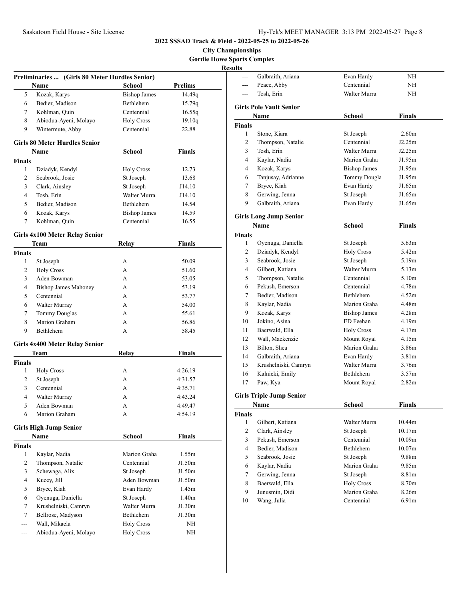**City Championships Gordie Howe Sports Complex**

|                | Preliminaries  (Girls 80 Meter Hurdles Senior) |                     |                   |
|----------------|------------------------------------------------|---------------------|-------------------|
|                | Name                                           | <b>School</b>       | Prelims           |
| 5              | Kozak, Karys                                   | <b>Bishop James</b> | 14.49q            |
| 6              | Bedier, Madison                                | Bethlehem           | 15.79q            |
| 7              | Kohlman, Quin                                  | Centennial          | 16.55q            |
| 8              | Abiodua-Ayeni, Molayo                          | <b>Holy Cross</b>   | 19.10q            |
| 9              | Wintermute, Abby                               | Centennial          | 22.88             |
|                | <b>Girls 80 Meter Hurdles Senior</b>           |                     |                   |
|                | Name                                           | School              | Finals            |
| <b>Finals</b>  |                                                |                     |                   |
| 1              | Dziadyk, Kendyl                                | <b>Holy Cross</b>   | 12.73             |
| 2              | Seabrook, Josie                                | St Joseph           | 13.68             |
| 3              | Clark, Ainsley                                 | St Joseph           | J14.10            |
| 4              | Tosh, Erin                                     | Walter Murra        | J14.10            |
| 5              | Bedier, Madison                                | Bethlehem           | 14.54             |
| 6              | Kozak, Karys                                   | <b>Bishop James</b> | 14.59             |
| 7              | Kohlman, Quin                                  | Centennial          | 16.55             |
|                |                                                |                     |                   |
|                | <b>Girls 4x100 Meter Relay Senior</b>          |                     |                   |
|                | Team                                           | Relay               | <b>Finals</b>     |
| <b>Finals</b>  |                                                |                     |                   |
| 1              | St Joseph                                      | А                   | 50.09             |
| 2              | <b>Holy Cross</b>                              | А                   | 51.60             |
| 3              | Aden Bowman                                    | А                   | 53.05             |
| $\overline{4}$ | <b>Bishop James Mahoney</b>                    | A                   | 53.19             |
| 5              | Centennial                                     | A                   | 53.77             |
| 6              | Walter Murray                                  | A                   | 54.00             |
| 7              | <b>Tommy Douglas</b>                           | A                   | 55.61             |
| 8              | Marion Graham                                  | A                   | 56.86             |
| 9              | Bethlehem                                      | A                   | 58.45             |
|                | <b>Girls 4x400 Meter Relay Senior</b>          |                     |                   |
|                | Team                                           | <b>Relay</b>        | <b>Finals</b>     |
| <b>Finals</b>  |                                                |                     |                   |
| 1              | <b>Holy Cross</b>                              | А                   | 4:26.19           |
| 2              | St Joseph                                      | А                   | 4:31.57           |
| 3              | Centennial                                     | А                   | 4:35.71           |
| $\overline{4}$ | Walter Murray                                  | А                   | 4:43.24           |
| 5              | Aden Bowman                                    | A                   | 4:49.47           |
| 6              | Marion Graham                                  | А                   | 4:54.19           |
|                | <b>Girls High Jump Senior</b>                  |                     |                   |
|                | Name                                           | <b>School</b>       | Finals            |
| <b>Finals</b>  |                                                |                     |                   |
| 1              | Kaylar, Nadia                                  | Marion Graha        | 1.55m             |
| 2              | Thompson, Natalie                              | Centennial          | J1.50m            |
| 3              | Schewaga, Alix                                 | St Joseph           | J1.50m            |
| 4              | Kucey, Jill                                    | Aden Bowman         | J1.50m            |
| 5              | Bryce, Kiah                                    | Evan Hardy          | 1.45m             |
| 6              | Oyenuga, Daniella                              | St Joseph           | 1.40 <sub>m</sub> |
| 7              | Krushelniski, Camryn                           | Walter Murra        | J1.30m            |
| 7              | Bellrose, Madyson                              | Bethlehem           | J1.30m            |
| ---            | Wall, Mikaela                                  | <b>Holy Cross</b>   | NH                |
| $---$          | Abiodua-Ayeni, Molayo                          | <b>Holy Cross</b>   | ΝH                |
|                |                                                |                     |                   |

| ults          |                                 |                     |                   |
|---------------|---------------------------------|---------------------|-------------------|
|               | Galbraith, Ariana               | Evan Hardy          | ΝH                |
|               | Peace, Abby                     | Centennial          | ΝH                |
| ---           | Tosh, Erin                      | Walter Murra        | ΝH                |
|               | <b>Girls Pole Vault Senior</b>  |                     |                   |
|               | Name                            | School              | Finals            |
| Finals        |                                 |                     |                   |
| 1             | Stone, Kiara                    | St Joseph           | 2.60 <sub>m</sub> |
| 2             | Thompson, Natalie               | Centennial          | J2.25m            |
| 3             | Tosh, Erin                      | Walter Murra        | J2.25m            |
| 4             | Kaylar, Nadia                   | Marion Graha        | J1.95m            |
| 4             | Kozak, Karys                    | <b>Bishop James</b> | J1.95m            |
| 6             | Tanjusay, Adrianne              | Tommy Dougla        | J1.95m            |
| 7             | Bryce, Kiah                     | Evan Hardy          | J1.65m            |
| 8             | Gerwing, Jenna                  | St Joseph           | J1.65m            |
| 9             | Galbraith, Ariana               | Evan Hardy          | J1.65m            |
|               | <b>Girls Long Jump Senior</b>   |                     |                   |
|               | Name                            | School              | Finals            |
| <b>Finals</b> |                                 |                     |                   |
| 1             | Oyenuga, Daniella               | St Joseph           | 5.63m             |
| 2             | Dziadyk, Kendyl                 | <b>Holy Cross</b>   | 5.42m             |
| 3             | Seabrook, Josie                 | St Joseph           | 5.19m             |
| 4             | Gilbert, Katiana                | Walter Murra        | 5.13 <sub>m</sub> |
| 5             | Thompson, Natalie               | Centennial          | 5.10m             |
| 6             | Pekush, Emerson                 | Centennial          | 4.78m             |
| 7             | Bedier, Madison                 | Bethlehem           | 4.52m             |
| 8             | Kaylar, Nadia                   | Marion Graha        | 4.48m             |
| 9             | Kozak, Karys                    | <b>Bishop James</b> | 4.28 <sub>m</sub> |
| 10            | Jokino, Asina                   | ED Feehan           | 4.19m             |
| 11            | Baerwald, Ella                  | <b>Holy Cross</b>   | 4.17m             |
| 12            | Wall, Mackenzie                 | Mount Royal         | 4.15m             |
| 13            | Bilton, Shea                    | Marion Graha        | 3.86m             |
| 14            | Galbraith, Ariana               | Evan Hardy          | 3.81 <sub>m</sub> |
| 15            | Krushelniski, Camryn            | Walter Murra        | 3.76m             |
| 16            | Kalnicki, Emily                 | <b>Bethlehem</b>    | 3.57m             |
| 17            | Paw, Kya                        | Mount Royal         | 2.82 <sub>m</sub> |
|               | <b>Girls Triple Jump Senior</b> |                     |                   |
|               | <b>Name</b>                     | School              | <u>Finals</u>     |
| Finals        |                                 |                     |                   |
| $\mathbf{1}$  | Gilbert, Katiana                | Walter Murra        | 10.44m            |
| 2             | Clark, Ainsley                  | St Joseph           | 10.17m            |
| 3             | Pekush, Emerson                 | Centennial          | 10.09m            |
| 4             | Bedier, Madison                 | Bethlehem           | 10.07m            |
|               | Seabrook, Josie                 | St Joseph           | 9.88m             |
| 5             |                                 |                     |                   |
| 6             | Kaylar, Nadia                   | Marion Graha        | 9.85m             |
| 7             | Gerwing, Jenna                  | St Joseph           | 8.81m             |
| 8             | Baerwald, Ella                  | <b>Holy Cross</b>   | 8.70m             |
| 9             | Junusmin, Didi                  | Marion Graha        | 8.26m             |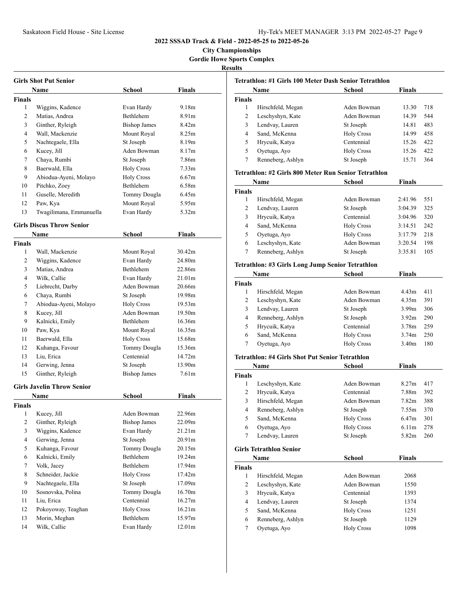**City Championships Gordie Howe Sports Complex**

#### **Results**

| Girls Shot Put Senior  |                                  |                            |                   |  |
|------------------------|----------------------------------|----------------------------|-------------------|--|
|                        | Name                             | School                     | Finals            |  |
| Finals                 |                                  |                            |                   |  |
| 1                      | Wiggins, Kadence                 | Evan Hardy                 | 9.18m             |  |
| 2                      | Matias, Andrea                   | Bethlehem                  | 8.91m             |  |
| 3                      | Ginther, Ryleigh                 | <b>Bishop James</b>        | 8.42 <sub>m</sub> |  |
| $\overline{4}$         | Wall, Mackenzie                  | Mount Royal                | 8.25m             |  |
| 5                      | Nachtegaele, Ella                | St Joseph                  | 8.19m             |  |
| 6                      | Kucey, Jill                      | Aden Bowman                | 8.17m             |  |
| 7                      | Chaya, Rumbi                     | St Joseph                  | 7.86m             |  |
| 8                      | Baerwald, Ella                   | <b>Holy Cross</b>          | 7.33 <sub>m</sub> |  |
| 9                      | Abiodua-Ayeni, Molayo            | <b>Holy Cross</b>          | 6.67m             |  |
| 10                     | Pitchko, Zoey                    | Bethlehem                  | 6.58m             |  |
| 11                     | Guselle, Meredith                | Tommy Dougla               | 6.45m             |  |
| 12                     | Paw, Kya                         | Mount Royal                | 5.95m             |  |
| 13                     | Twagilimana, Emmanuella          | Evan Hardy                 | 5.32m             |  |
|                        | <b>Girls Discus Throw Senior</b> |                            |                   |  |
|                        | Name                             | School                     | Finals            |  |
| Finals                 |                                  |                            |                   |  |
| 1                      | Wall, Mackenzie                  | Mount Royal                | 30.42m            |  |
| 2                      | Wiggins, Kadence                 | Evan Hardy                 | 24.80m            |  |
| 3                      | Matias, Andrea                   | <b>Bethlehem</b>           | 22.86m            |  |
| 4                      | Wilk, Callie                     | Evan Hardy                 | 21.01m            |  |
| 5                      | Liebrecht, Darby                 | Aden Bowman                | 20.66m            |  |
| 6                      | Chaya, Rumbi                     | St Joseph                  | 19.98m            |  |
| 7                      | Abiodua-Ayeni, Molayo            | <b>Holy Cross</b>          | 19.53m            |  |
| 8                      | Kucey, Jill                      | Aden Bowman                | 19.50m            |  |
| 9                      | Kalnicki, Emily                  | <b>Bethlehem</b>           | 16.36m            |  |
| 10                     | Paw, Kya                         | Mount Royal                | 16.35m            |  |
| 11                     | Baerwald, Ella                   | <b>Holy Cross</b>          | 15.68m            |  |
| 12                     | Kuhanga, Favour                  | Tommy Dougla               | 15.36m            |  |
| 13                     | Liu, Erica                       | Centennial                 | 14.72m            |  |
| 14                     | Gerwing, Jenna                   | St Joseph                  | 13.90m            |  |
| 15                     | Ginther, Ryleigh                 | <b>Bishop James</b>        | 7.61 <sub>m</sub> |  |
|                        | Girls Javelin Throw Senior       |                            |                   |  |
|                        |                                  | <b>School</b>              | Finals            |  |
|                        | Name                             |                            |                   |  |
| Finals<br>$\mathbf{1}$ | Kucey, Jill                      | Aden Bowman                | 22.96m            |  |
| $\mathbf{2}$           | Ginther, Ryleigh                 | <b>Bishop James</b>        | 22.09m            |  |
| 3                      | Wiggins, Kadence                 | Evan Hardy                 | 21.21m            |  |
| $\overline{4}$         | Gerwing, Jenna                   | St Joseph                  | 20.91m            |  |
| 5                      | Kuhanga, Favour                  | Tommy Dougla               | 20.15m            |  |
| 6                      | Kalnicki, Emily                  | Bethlehem                  | 19.24m            |  |
| $\tau$                 | Volk, Jacey                      | Bethlehem                  | 17.94m            |  |
| 8                      | Schneider, Jackie                | <b>Holy Cross</b>          | 17.42m            |  |
| 9                      |                                  |                            |                   |  |
|                        | Nachtegaele, Ella                | St Joseph                  | 17.09m            |  |
| 10                     | Sosnovska, Polina<br>Liu. Erica  | Tommy Dougla<br>Centennial | 16.70m            |  |
| 11<br>12               | Pokoyoway, Teaghan               | <b>Holy Cross</b>          | 16.27m<br>16.21m  |  |
|                        |                                  | Bethlehem                  |                   |  |
| 13                     | Morin, Meghan                    |                            | 15.97m            |  |
| 14                     | Wilk, Callie                     | Evan Hardy                 | 12.01m            |  |

| Tetrathlon: #1 Girls 100 Meter Dash Senior Tetrathlon |                   |                   |               |     |
|-------------------------------------------------------|-------------------|-------------------|---------------|-----|
|                                                       | <b>Name</b>       | School            | <b>Finals</b> |     |
| <b>Finals</b>                                         |                   |                   |               |     |
| 1                                                     | Hirschfeld, Megan | Aden Bowman       | 13.30         | 718 |
| 2                                                     | Leschyshyn, Kate  | Aden Bowman       | 14.39         | 544 |
| 3                                                     | Lendvay, Lauren   | St Joseph         | 14.81         | 483 |
| 4                                                     | Sand, McKenna     | <b>Holy Cross</b> | 14.99         | 458 |
| 5                                                     | Hrycuik, Katya    | Centennial        | 15.26         | 422 |
| 5                                                     | Oyetuga, Ayo      | <b>Holy Cross</b> | 15.26         | 422 |
|                                                       | Renneberg, Ashlyn | St Joseph         | 15.71         | 364 |
|                                                       |                   |                   |               |     |

#### **Tetrathlon: #2 Girls 800 Meter Run Senior Tetrathlon**

| Name          |                   | School            | <b>Finals</b> |     |
|---------------|-------------------|-------------------|---------------|-----|
| <b>Finals</b> |                   |                   |               |     |
|               | Hirschfeld, Megan | Aden Bowman       | 2:41.96       | 551 |
| 2             | Lendvay, Lauren   | St Joseph         | 3:04.39       | 325 |
| 3             | Hrycuik, Katya    | Centennial        | 3:04.96       | 320 |
| 4             | Sand, McKenna     | <b>Holy Cross</b> | 3:14.51       | 242 |
| 5             | Oyetuga, Ayo      | <b>Holy Cross</b> | 3:17.79       | 218 |
| 6             | Leschyshyn, Kate  | Aden Bowman       | 3:20.54       | 198 |
|               | Renneberg, Ashlyn | St Joseph         | 3:35.81       | 105 |

### **Tetrathlon: #3 Girls Long Jump Senior Tetrathlon**

|               | Name              | <b>School</b>     | <b>Finals</b>     |     |
|---------------|-------------------|-------------------|-------------------|-----|
| <b>Finals</b> |                   |                   |                   |     |
|               | Hirschfeld, Megan | Aden Bowman       | 4.43m             | 411 |
| 2             | Leschyshyn, Kate  | Aden Bowman       | 4.35m             | 391 |
| 3             | Lendvay, Lauren   | St Joseph         | 3.99 <sub>m</sub> | 306 |
| 4             | Renneberg, Ashlyn | St Joseph         | 3.92 <sub>m</sub> | 290 |
| 5             | Hrycuik, Katya    | Centennial        | 3.78m             | 259 |
| 6             | Sand, McKenna     | <b>Holy Cross</b> | 3.74 <sub>m</sub> | 250 |
|               | Oyetuga, Ayo      | <b>Holy Cross</b> | 3.40m             | 180 |

#### **Tetrathlon: #4 Girls Shot Put Senior Tetrathlon**

|                | Name                           | School            | <b>Finals</b>     |     |
|----------------|--------------------------------|-------------------|-------------------|-----|
| Finals         |                                |                   |                   |     |
| 1              | Leschyshyn, Kate               | Aden Bowman       | 8.27 <sub>m</sub> | 417 |
| 2              | Hrycuik, Katya                 | Centennial        | 7.88m             | 392 |
| 3              | Hirschfeld, Megan              | Aden Bowman       | 7.82 <sub>m</sub> | 388 |
| 4              | Renneberg, Ashlyn              | St Joseph         | 7.55m             | 370 |
| 5              | Sand, McKenna                  | <b>Holy Cross</b> | 6.47 <sub>m</sub> | 301 |
| 6              | Oyetuga, Ayo                   | <b>Holy Cross</b> | 6.11 <sub>m</sub> | 278 |
| 7              | Lendvay, Lauren                | St Joseph         | 5.82m             | 260 |
|                | <b>Girls Tetrathlon Senior</b> |                   |                   |     |
|                | Name                           | School            | Finals            |     |
| Finals         |                                |                   |                   |     |
| 1              | Hirschfeld, Megan              | Aden Bowman       | 2068              |     |
| $\overline{c}$ | Leschyshyn, Kate               | Aden Bowman       | 1550              |     |
| 3              | Hrycuik, Katya                 | Centennial        | 1393              |     |
| 4              | Lendvay, Lauren                | St Joseph         | 1374              |     |
| 5              | Sand, McKenna                  | <b>Holy Cross</b> | 1251              |     |
| 6              | Renneberg, Ashlyn              | St Joseph         | 1129              |     |
| 7              | Oyetuga, Ayo                   | <b>Holy Cross</b> | 1098              |     |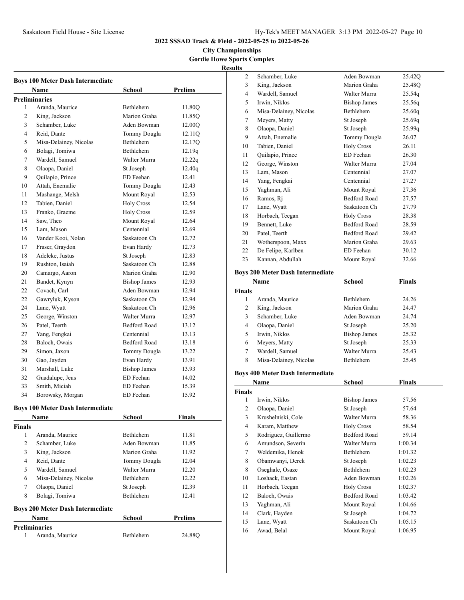**City Championships Gordie Howe Sports Complex**

**Results**

|              | <b>Boys 100 Meter Dash Intermediate</b> |                     |                |
|--------------|-----------------------------------------|---------------------|----------------|
|              | Name                                    | School              | <b>Prelims</b> |
|              | <b>Preliminaries</b>                    |                     |                |
| 1            | Aranda, Maurice                         | <b>Bethlehem</b>    | 11.80O         |
| 2            | King, Jackson                           | Marion Graha        | 11.85Q         |
| 3            | Schamber, Luke                          | Aden Bowman         | 12.00Q         |
| 4            | Reid, Dante                             | Tommy Dougla        | 12.11Q         |
| 5            | Misa-Delainey, Nicolas                  | <b>Bethlehem</b>    | 12.17Q         |
| 6            | Bolagi, Tomiwa                          | <b>Bethlehem</b>    | 12.19q         |
| 7            | Wardell, Samuel                         | Walter Murra        | 12.22q         |
| 8            | Olaopa, Daniel                          | St Joseph           | 12.40q         |
| 9            | Quilapio, Prince                        | ED Feehan           | 12.41          |
| 10           | Attah, Enemalie                         | Tommy Dougla        | 12.43          |
| 11           | Mashange, Melsh                         | Mount Royal         | 12.53          |
| 12           | Tabien, Daniel                          | <b>Holy Cross</b>   | 12.54          |
| 13           | Franko, Graeme                          | <b>Holy Cross</b>   | 12.59          |
| 14           | Saw, Theo                               | Mount Royal         | 12.64          |
| 15           | Lam, Mason                              | Centennial          | 12.69          |
| 16           | Vander Kooi, Nolan                      | Saskatoon Ch        | 12.72          |
| 17           | Fraser, Graydon                         | Evan Hardy          | 12.73          |
| 18           | Adeleke, Justus                         | St Joseph           | 12.83          |
| 19           | Rushton, Isaiah                         | Saskatoon Ch        | 12.88          |
| 20           | Camargo, Aaron                          | Marion Graha        | 12.90          |
| 21           | Bandet, Kynyn                           | <b>Bishop James</b> | 12.93          |
| 22           | Covach, Carl                            | Aden Bowman         | 12.94          |
| 22           | Gawryluk, Kyson                         | Saskatoon Ch        | 12.94          |
| 24           | Lane, Wyatt                             | Saskatoon Ch        | 12.96          |
| 25           | George, Winston                         | Walter Murra        | 12.97          |
| 26           | Patel, Teerth                           | <b>Bedford Road</b> | 13.12          |
| 27           | Yang, Fengkai                           | Centennial          | 13.13          |
| 28           | Baloch, Owais                           | <b>Bedford Road</b> | 13.18          |
| 29           | Simon, Jaxon                            | Tommy Dougla        | 13.22          |
| 30           | Gao, Jayden                             | Evan Hardy          | 13.91          |
| 31           | Marshall, Luke                          | <b>Bishop James</b> | 13.93          |
| 32           | Guadalupe, Jeus                         | ED Feehan           | 14.02          |
| 33           | Smith, Miciah                           | ED Feehan           | 15.39          |
| 34           | Borowsky, Morgan                        | ED Feehan           | 15.92          |
|              |                                         |                     |                |
|              | <b>Boys 100 Meter Dash Intermediate</b> |                     |                |
|              | Name                                    | School              | <b>Finals</b>  |
| Finals       |                                         |                     |                |
| $\mathbf{1}$ | Aranda, Maurice                         | Bethlehem           | 11.81          |
| 2            | Schamber, Luke                          | Aden Bowman         | 11.85          |
| 3            | King, Jackson                           | Marion Graha        | 11.92          |
| 4            | Reid, Dante                             | Tommy Dougla        | 12.04          |
| 5            | Wardell, Samuel                         | Walter Murra        | 12.20          |
| 6            | Misa-Delainey, Nicolas                  | Bethlehem           | 12.22          |
| 7            | Olaopa, Daniel                          | St Joseph           | 12.39          |
| 8            | Bolagi, Tomiwa                          | Bethlehem           | 12.41          |
|              | <b>Boys 200 Meter Dash Intermediate</b> |                     |                |
|              | Name                                    | School              | <b>Prelims</b> |
| 1            | <b>Preliminaries</b><br>Aranda, Maurice | Bethlehem           | 24.88Q         |
|              |                                         |                     |                |

| $\overline{c}$ | Schamber, Luke         | Aden Bowman         | 25.42Q |
|----------------|------------------------|---------------------|--------|
| 3              | King, Jackson          | Marion Graha        | 25.48Q |
| $\overline{4}$ | Wardell, Samuel        | Walter Murra        | 25.54q |
| 5              | Irwin, Niklos          | <b>Bishop James</b> | 25.56q |
| 6              | Misa-Delainey, Nicolas | Bethlehem           | 25.60q |
| 7              | Meyers, Matty          | St Joseph           | 25.69q |
| 8              | Olaopa, Daniel         | St Joseph           | 25.99q |
| 9              | Attah, Enemalie        | Tommy Dougla        | 26.07  |
| 10             | Tabien, Daniel         | <b>Holy Cross</b>   | 26.11  |
| 11             | Quilapio, Prince       | ED Feehan           | 26.30  |
| 12             | George, Winston        | Walter Murra        | 27.04  |
| 13             | Lam, Mason             | Centennial          | 27.07  |
| 14             | Yang, Fengkai          | Centennial          | 27.27  |
| 15             | Yaghman, Ali           | Mount Royal         | 27.36  |
| 16             | Ramos, Ri              | <b>Bedford Road</b> | 27.57  |
| 17             | Lane, Wyatt            | Saskatoon Ch        | 27.79  |
| 18             | Horbach, Teegan        | <b>Holy Cross</b>   | 28.38  |
| 19             | Bennett, Luke          | <b>Bedford Road</b> | 28.59  |
| 20             | Patel, Teerth          | <b>Bedford Road</b> | 29.42  |
| 21             | Wotherspoon, Maxx      | Marion Graha        | 29.63  |
| 22             | De Felipe, Karlben     | ED Feehan           | 30.12  |
| 23             | Kannan, Abdullah       | Mount Royal         | 32.66  |
|                |                        |                     |        |

# **Boys 200 Meter Dash Intermediate**

| Name          |                        | School              | Finals |  |
|---------------|------------------------|---------------------|--------|--|
| <b>Finals</b> |                        |                     |        |  |
|               | Aranda, Maurice        | <b>Bethlehem</b>    | 24.26  |  |
| 2             | King, Jackson          | Marion Graha        | 24.47  |  |
| 3             | Schamber, Luke         | Aden Bowman         | 24.74  |  |
| 4             | Olaopa, Daniel         | St Joseph           | 25.20  |  |
| 5             | Irwin, Niklos          | <b>Bishop James</b> | 25.32  |  |
| 6             | Meyers, Matty          | St Joseph           | 25.33  |  |
| 7             | Wardell, Samuel        | Walter Murra        | 25.43  |  |
| 8             | Misa-Delainey, Nicolas | <b>Bethlehem</b>    | 25.45  |  |
|               |                        |                     |        |  |

### **Boys 400 Meter Dash Intermediate**

|               | Name                 | School              | Finals  |  |
|---------------|----------------------|---------------------|---------|--|
| <b>Finals</b> |                      |                     |         |  |
| 1             | Irwin, Niklos        | <b>Bishop James</b> | 57.56   |  |
| 2             | Olaopa, Daniel       | St Joseph           | 57.64   |  |
| 3             | Krushelniski, Cole   | Walter Murra        | 58.36   |  |
| 4             | Karam, Matthew       | <b>Holy Cross</b>   | 58.54   |  |
| 5             | Rodriguez, Guillermo | <b>Bedford Road</b> | 59.14   |  |
| 6             | Amundson, Severin    | Walter Murra        | 1:00.34 |  |
| 7             | Weldemika, Henok     | <b>Bethlehem</b>    | 1:01.32 |  |
| 8             | Obamwanyi, Derek     | St Joseph           | 1:02.23 |  |
| 8             | Oseghale, Osaze      | <b>Bethlehem</b>    | 1:02.23 |  |
| 10            | Loshack, Eastan      | Aden Bowman         | 1:02.26 |  |
| 11            | Horbach, Teegan      | <b>Holy Cross</b>   | 1:02.37 |  |
| 12            | Baloch, Owais        | <b>Bedford Road</b> | 1:03.42 |  |
| 13            | Yaghman, Ali         | Mount Royal         | 1:04.66 |  |
| 14            | Clark, Hayden        | St Joseph           | 1:04.72 |  |
| 15            | Lane, Wyatt          | Saskatoon Ch        | 1:05.15 |  |
| 16            | Awad, Belal          | Mount Royal         | 1:06.95 |  |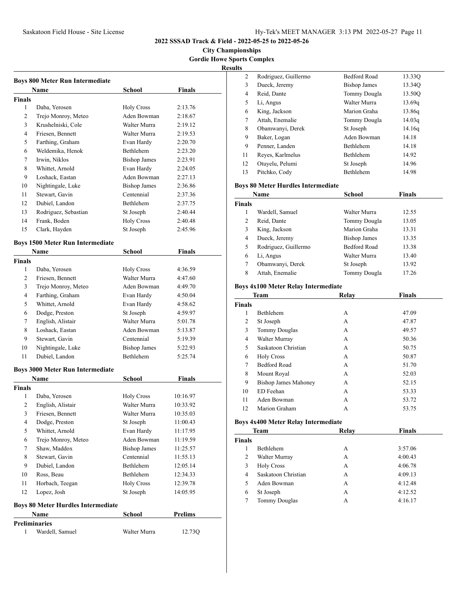**City Championships Gordie Howe Sports Complex**

**Results**

|                | <b>Boys 800 Meter Run Intermediate</b>    |                     |                |
|----------------|-------------------------------------------|---------------------|----------------|
|                | <b>Name</b>                               | <b>School</b>       | <b>Finals</b>  |
| <b>Finals</b>  |                                           |                     |                |
| 1              | Daba, Yerosen                             | <b>Holy Cross</b>   | 2:13.76        |
| 2              | Trejo Monroy, Meteo                       | Aden Bowman         | 2:18.67        |
| 3              | Krushelniski, Cole                        | Walter Murra        | 2:19.12        |
| 4              | Friesen, Bennett                          | Walter Murra        | 2:19.53        |
| 5              | Farthing, Graham                          | Evan Hardy          | 2:20.70        |
| 6              | Weldemika, Henok                          | <b>Bethlehem</b>    | 2:23.20        |
| 7              | Irwin, Niklos                             | <b>Bishop James</b> | 2:23.91        |
| 8              | Whittet, Arnold                           | Evan Hardy          | 2:24.05        |
| 9              | Loshack, Eastan                           | Aden Bowman         | 2:27.13        |
| 10             | Nightingale, Luke                         | <b>Bishop James</b> | 2:36.86        |
| 11             | Stewart, Gavin                            | Centennial          | 2:37.36        |
| 12             | Dubiel, Landon                            | Bethlehem           | 2:37.75        |
| 13             | Rodriguez, Sebastian                      | St Joseph           | 2:40.44        |
| 14             | Frank, Boden                              | <b>Holy Cross</b>   | 2:40.48        |
| 15             | Clark, Hayden                             | St Joseph           | 2:45.96        |
|                | <b>Boys 1500 Meter Run Intermediate</b>   |                     |                |
|                | Name                                      | <b>School</b>       | <b>Finals</b>  |
| <b>Finals</b>  |                                           |                     |                |
| 1              | Daba, Yerosen                             | <b>Holy Cross</b>   | 4:36.59        |
| $\overline{c}$ | Friesen, Bennett                          | Walter Murra        | 4:47.60        |
| 3              | Trejo Monroy, Meteo                       | Aden Bowman         | 4:49.70        |
| 4              | Farthing, Graham                          | Evan Hardy          | 4:50.04        |
| 5              | Whittet, Arnold                           | Evan Hardy          | 4:58.62        |
| 6              | Dodge, Preston                            | St Joseph           | 4:59.97        |
| 7              | English, Alistair                         | Walter Murra        | 5:01.78        |
| 8              | Loshack, Eastan                           | Aden Bowman         | 5:13.87        |
| 9              | Stewart, Gavin                            | Centennial          | 5:19.39        |
| 10             | Nightingale, Luke                         | <b>Bishop James</b> | 5:22.93        |
| 11             | Dubiel, Landon                            | <b>Bethlehem</b>    | 5:25.74        |
|                | <b>Boys 3000 Meter Run Intermediate</b>   |                     |                |
|                | Name                                      | <b>School</b>       | <b>Finals</b>  |
| <b>Finals</b>  |                                           |                     |                |
| 1              | Daba, Yerosen                             | <b>Holy Cross</b>   | 10:16.97       |
| 2              | English, Alistair                         | Walter Murra        | 10:33.92       |
| 3              | Friesen, Bennett                          | Walter Murra        | 10:35.03       |
| 4              | Dodge, Preston                            | St Joseph           | 11:00.43       |
| 5              | Whittet, Arnold                           | Evan Hardy          | 11:17.95       |
| 6              | Trejo Monroy, Meteo                       | Aden Bowman         | 11:19.59       |
| 7              | Shaw, Maddox                              | <b>Bishop James</b> | 11:25.57       |
| 8              | Stewart, Gavin                            | Centennial          | 11:55.13       |
| 9              | Dubiel, Landon                            | Bethlehem           | 12:05.14       |
| 10             | Ross, Beau                                | Bethlehem           | 12:34.33       |
| 11             | Horbach, Teegan                           | <b>Holy Cross</b>   | 12:39.78       |
| 12             | Lopez, Josh                               | St Joseph           | 14:05.95       |
|                | <b>Boys 80 Meter Hurdles Intermediate</b> |                     |                |
|                | <b>Name</b>                               | School              | <b>Prelims</b> |
|                | <b>Preliminaries</b>                      |                     |                |
| 1              | Wardell, Samuel                           | Walter Murra        | 12.73Q         |

| 2  | Rodriguez, Guillermo | <b>Bedford Road</b> | 13.330 |  |
|----|----------------------|---------------------|--------|--|
| 3  | Dueck, Jeremy        | <b>Bishop James</b> | 13.34Q |  |
| 4  | Reid, Dante          | Tommy Dougla        | 13.50O |  |
| 5  | Li, Angus            | Walter Murra        | 13.69g |  |
| 6  | King, Jackson        | Marion Graha        | 13.86g |  |
| 7  | Attah, Enemalie      | Tommy Dougla        | 14.03g |  |
| 8  | Obamwanyi, Derek     | St Joseph           | 14.16q |  |
| 9  | Baker, Logan         | Aden Bowman         | 14.18  |  |
| 9  | Penner, Landen       | <b>Bethlehem</b>    | 14.18  |  |
| 11 | Reyes, Karlmelus     | <b>Bethlehem</b>    | 14.92  |  |
| 12 | Otuyelu, Pelumi      | St Joseph           | 14.96  |  |
| 13 | Pitchko, Cody        | <b>Bethlehem</b>    | 14.98  |  |
|    |                      |                     |        |  |

### **Boys 80 Meter Hurdles Intermediate**

|               | Name                 | School              | <b>Finals</b> |  |
|---------------|----------------------|---------------------|---------------|--|
| <b>Finals</b> |                      |                     |               |  |
|               | Wardell, Samuel      | Walter Murra        | 12.55         |  |
| 2             | Reid, Dante          | Tommy Dougla        | 13.05         |  |
| 3             | King, Jackson        | Marion Graha        | 13.31         |  |
| 4             | Dueck, Jeremy        | <b>Bishop James</b> | 13.35         |  |
| 5             | Rodriguez, Guillermo | <b>Bedford Road</b> | 13.38         |  |
| 6             | Li, Angus            | Walter Murra        | 13.40         |  |
| 7             | Obamwanyi, Derek     | St Joseph           | 13.92         |  |
| 8             | Attah, Enemalie      | Tommy Dougla        | 17.26         |  |

# **Boys 4x100 Meter Relay Intermediate**

|               | <b>Team</b>                 | Relay | <b>Finals</b> |  |
|---------------|-----------------------------|-------|---------------|--|
| <b>Finals</b> |                             |       |               |  |
| 1             | <b>Bethlehem</b>            | A     | 47.09         |  |
| 2             | St Joseph                   | А     | 47.87         |  |
| 3             | <b>Tommy Douglas</b>        | A     | 49.57         |  |
| 4             | Walter Murray               | А     | 50.36         |  |
| 5             | Saskatoon Christian         | А     | 50.75         |  |
| 6             | <b>Holy Cross</b>           | A     | 50.87         |  |
| 7             | <b>Bedford Road</b>         | A     | 51.70         |  |
| 8             | Mount Royal                 | A     | 52.03         |  |
| 9             | <b>Bishop James Mahoney</b> | А     | 52.15         |  |
| 10            | ED Feehan                   | А     | 53.33         |  |
| 11            | Aden Bowman                 | A     | 53.72         |  |
| 12            | Marion Graham               | А     | 53.75         |  |

#### **Boys 4x400 Meter Relay Intermediate**

| <b>Team</b>   |                      | Relay | <b>Finals</b> |
|---------------|----------------------|-------|---------------|
| <b>Finals</b> |                      |       |               |
|               | <b>Bethlehem</b>     | A     | 3:57.06       |
| 2             | Walter Murray        | А     | 4:00.43       |
| 3             | <b>Holy Cross</b>    | А     | 4:06.78       |
| 4             | Saskatoon Christian  | А     | 4:09.13       |
| 5             | Aden Bowman          | А     | 4:12.48       |
| 6             | St Joseph            | А     | 4:12.52       |
|               | <b>Tommy Douglas</b> | А     | 4:16.17       |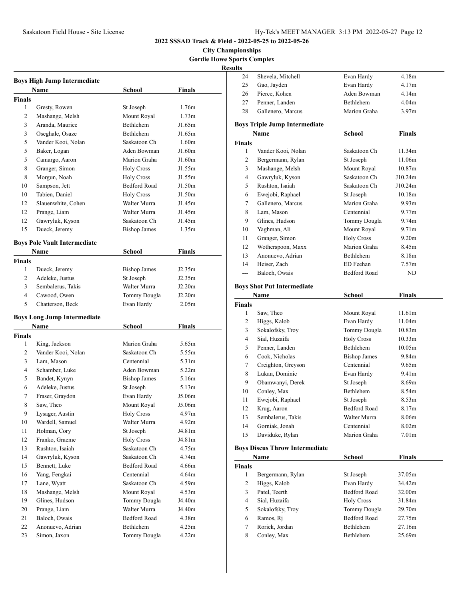# **City Championships Gordie Howe Sports Complex**

|                | <b>Boys High Jump Intermediate</b>  |                             |                   |
|----------------|-------------------------------------|-----------------------------|-------------------|
|                | Name                                | School                      | Finals            |
| <b>Finals</b>  |                                     |                             |                   |
| 1              | Gresty, Rowen                       | St Joseph                   | 1.76m             |
| 2              | Mashange, Melsh                     | Mount Royal                 | 1.73m             |
| 3              | Aranda, Maurice                     | <b>Bethlehem</b>            | J1.65m            |
| 3              | Oseghale, Osaze                     | <b>Bethlehem</b>            | J1.65m            |
| 5              | Vander Kooi, Nolan                  | Saskatoon Ch                | 1.60 <sub>m</sub> |
| 5              | Baker, Logan                        | Aden Bowman                 | J1.60m            |
| 5              | Camargo, Aaron                      | Marion Graha                | J1.60m            |
| 8              | Granger, Simon                      | <b>Holy Cross</b>           | J1.55m            |
| 8              | Morgun, Noah                        | <b>Holy Cross</b>           | J1.55m            |
| 10             | Sampson, Jett                       | <b>Bedford Road</b>         | J1.50m            |
| 10             | Tabien, Daniel                      | <b>Holy Cross</b>           | J1.50m            |
| 12             | Slauenwhite, Cohen                  | Walter Murra                | J1.45m            |
| 12             | Prange, Liam                        | Walter Murra                | J1.45m            |
| 12             | Gawryluk, Kyson                     | Saskatoon Ch                | J1.45m            |
| 15             | Dueck, Jeremy                       | <b>Bishop James</b>         | 1.35m             |
|                | <b>Boys Pole Vault Intermediate</b> |                             |                   |
|                | Name                                | School                      | <b>Finals</b>     |
| <b>Finals</b>  |                                     |                             |                   |
| 1              | Dueck, Jeremy                       | <b>Bishop James</b>         | J2.35m            |
| $\overline{2}$ | Adeleke, Justus                     | St Joseph                   | J2.35m            |
| 3              | Sembalerus, Takis                   | Walter Murra                | J2.20m            |
| 4              | Cawood, Owen                        | Tommy Dougla                | J2.20m            |
| 5              | Chatterson, Beck                    | Evan Hardy                  | 2.05 <sub>m</sub> |
|                | <b>Boys Long Jump Intermediate</b>  |                             |                   |
|                | Name                                | School                      | Finals            |
| <b>Finals</b>  |                                     |                             |                   |
| 1              | King, Jackson                       | Marion Graha                | 5.65m             |
| 2              | Vander Kooi, Nolan                  | Saskatoon Ch                | 5.55m             |
| 3              | Lam, Mason                          | Centennial                  | 5.31m             |
| 4              | Schamber, Luke                      | Aden Bowman                 | 5.22 <sub>m</sub> |
| 5              | Bandet, Kynyn                       | <b>Bishop James</b>         | 5.16m             |
| 6              | Adeleke, Justus                     | St Joseph                   | 5.13m             |
| 7              | Fraser, Graydon                     | Evan Hardy                  | J5.06m            |
| 8              | Saw, Theo                           | Mount Royal                 | J5.06m            |
| 9              | Lysager, Austin                     | Holy Cross                  | 4.97m             |
| 10             | Wardell, Samuel                     | Walter Murra                | 4.92m             |
| 11             | Holman, Cory                        | St Joseph                   | J4.81m            |
| 12             | Franko, Graeme                      | <b>Holy Cross</b>           | J4.81m            |
| 13             | Rushton, Isaiah                     | Saskatoon Ch                | 4.75m             |
| 14             | Gawryluk, Kyson                     | Saskatoon Ch                | 4.74m             |
| 15             | Bennett, Luke                       | Bedford Road                | 4.66m             |
| 16             | Yang, Fengkai                       | Centennial                  | 4.64m             |
| 17             | Lane, Wyatt                         | Saskatoon Ch                | 4.59m             |
|                | Mashange, Melsh                     |                             | 4.53m             |
| 18<br>19       | Glines, Hudson                      | Mount Royal<br>Tommy Dougla | J4.40m            |
|                | Prange, Liam                        | Walter Murra                | J4.40m            |
| 20<br>21       | Baloch, Owais                       | Bedford Road                |                   |
| 22             |                                     |                             | 4.38m             |
|                | Anonuevo, Adrian<br>Simon, Jaxon    | Bethlehem                   | 4.25m             |
| 23             |                                     | Tommy Dougla                | 4.22m             |

| лрот со сошр<br>sults |                                       |                            |                            |
|-----------------------|---------------------------------------|----------------------------|----------------------------|
| 24                    | Shevela, Mitchell                     | Evan Hardy                 | 4.18m                      |
| 25                    | Gao, Jayden                           | Evan Hardy                 | 4.17m                      |
| 26                    | Pierce, Kohen                         | Aden Bowman                | 4.14m                      |
| 27                    | Penner, Landen                        | <b>Bethlehem</b>           | 4.04m                      |
| 28                    | Gallenero, Marcus                     | Marion Graha               | 3.97 <sub>m</sub>          |
|                       | <b>Boys Triple Jump Intermediate</b>  |                            |                            |
|                       | Name                                  | School                     | Finals                     |
| <b>Finals</b>         |                                       |                            |                            |
| $\mathbf{1}$          | Vander Kooi, Nolan                    | Saskatoon Ch               | 11.34m                     |
| 2                     | Bergermann, Rylan                     | St Joseph                  | 11.06m                     |
| 3                     | Mashange, Melsh                       | Mount Royal                | 10.87m                     |
| 4                     | Gawryluk, Kyson                       | Saskatoon Ch               | J10.24m                    |
| 5                     | Rushton, Isaiah                       | Saskatoon Ch               | J10.24m                    |
| 6                     | Ewejobi, Raphael                      | St Joseph                  | 10.18m                     |
| 7                     | Gallenero, Marcus                     | Marion Graha               | 9.93 <sub>m</sub>          |
| 8                     | Lam, Mason                            | Centennial                 | 9.77m                      |
| 9                     | Glines, Hudson                        | Tommy Dougla               | 9.74m                      |
| 10                    | Yaghman, Ali                          | Mount Royal                | 9.71 <sub>m</sub>          |
| 11                    | Granger, Simon                        | <b>Holy Cross</b>          | 9.20 <sub>m</sub>          |
| 12                    | Wotherspoon, Maxx                     | Marion Graha               | 8.45m                      |
| 13                    | Anonuevo, Adrian                      | Bethlehem                  | 8.18m                      |
| 14                    | Heiser, Zach                          | ED Feehan                  | 7.57m                      |
| ---                   | Baloch, Owais                         | <b>Bedford Road</b>        | ND                         |
|                       | <b>Boys Shot Put Intermediate</b>     |                            |                            |
|                       | Name                                  | School                     | Finals                     |
| <b>Finals</b>         |                                       |                            |                            |
| 1                     | Saw, Theo                             | Mount Royal                | 11.61m                     |
| 2                     | Higgs, Kalob                          | Evan Hardy                 | 11.04m                     |
| 3                     | Sokalofsky, Troy                      | Tommy Dougla               | 10.83m                     |
| 4                     | Sial, Huzaifa                         | <b>Holy Cross</b>          | 10.33 <sub>m</sub>         |
| 5                     | Penner, Landen                        | Bethlehem                  | 10.05m                     |
| 6                     | Cook, Nicholas                        | <b>Bishop James</b>        | 9.84m                      |
| 7                     | Creighton, Greyson                    | Centennial                 | 9.65m                      |
| 8                     | Lukan, Dominic                        | Evan Hardy                 | 9.41m                      |
| 9                     | Obamwanyi, Derek                      | St Joseph                  | 8.69m                      |
| 10                    | Conley, Max                           | Bethlehem                  | 8.54m                      |
| 11                    | Ewejobi, Raphael                      | St Joseph                  | 8.53m                      |
| 12                    | Krug, Aaron                           | Bedford Road               | 8.17m                      |
| 13                    | Sembalerus, Takis                     | Walter Murra               | 8.06m                      |
| 14<br>15              | Gorniak, Jonah<br>Daviduke, Rylan     | Centennial<br>Marion Graha | 8.02m<br>7.01 <sub>m</sub> |
|                       |                                       |                            |                            |
|                       | <b>Boys Discus Throw Intermediate</b> |                            |                            |
|                       | Name                                  | <b>School</b>              | <b>Finals</b>              |
| Finals                |                                       |                            |                            |
| 1                     | Bergermann, Rylan                     | St Joseph                  | 37.05m                     |
| 2                     | Higgs, Kalob                          | Evan Hardy                 | 34.42m                     |
| 3                     | Patel, Teerth                         | <b>Bedford Road</b>        | 32.00m                     |
| 4                     | Sial, Huzaifa                         | <b>Holy Cross</b>          | 31.84m                     |
| 5                     | Sokalofsky, Troy                      | Tommy Dougla               | 29.70m                     |
| 6                     | Ramos, Rj                             | Bedford Road               | 27.75m                     |
| 7                     | Rorick, Jordan                        | Bethlehem                  | 27.16m                     |
| 8                     | Conley, Max                           | Bethlehem                  | 25.69m                     |
|                       |                                       |                            |                            |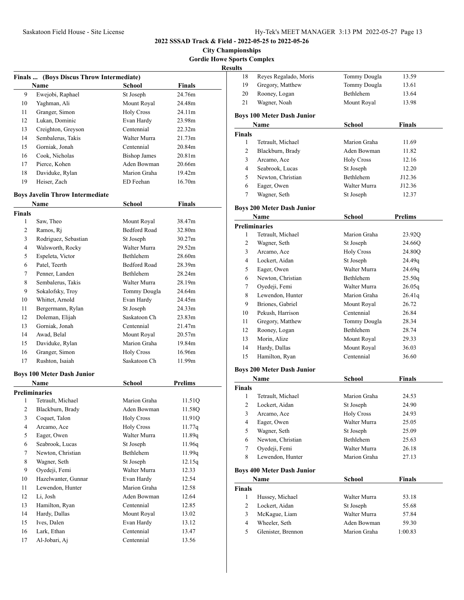# **City Championships Gordie Howe Sports Complex**

|                         | Finals  (Boys Discus Throw Intermediate) |                     |                    |
|-------------------------|------------------------------------------|---------------------|--------------------|
|                         | <b>Name</b>                              | <b>School</b>       | Finals             |
| 9                       | Ewejobi, Raphael                         | St Joseph           | 24.76m             |
| 10                      | Yaghman, Ali                             | Mount Royal         | 24.48m             |
| 11                      | Granger, Simon                           | <b>Holy Cross</b>   | 24.11m             |
| 12                      | Lukan, Dominic                           | Evan Hardy          | 23.98m             |
| 13                      | Creighton, Greyson                       | Centennial          | 22.32m             |
| 14                      | Sembalerus, Takis                        | Walter Murra        | 21.73m             |
| 15                      | Gorniak, Jonah                           | Centennial          | 20.84m             |
| 16                      | Cook, Nicholas                           | <b>Bishop James</b> | 20.81 <sub>m</sub> |
| 17                      | Pierce, Kohen                            | Aden Bowman         | 20.66m             |
| 18                      | Daviduke, Rylan                          | Marion Graha        | 19.42m             |
| 19                      | Heiser, Zach                             | ED Feehan           | 16.70m             |
|                         | <b>Boys Javelin Throw Intermediate</b>   |                     |                    |
|                         | <b>Name</b>                              | <b>School</b>       | <b>Finals</b>      |
| <b>Finals</b>           |                                          |                     |                    |
| 1                       | Saw, Theo                                | Mount Royal         | 38.47m             |
| 2                       | Ramos, Ri                                | <b>Bedford Road</b> | 32.80m             |
| 3                       | Rodriguez, Sebastian                     | St Joseph           | 30.27m             |
| 4                       | Walsworth, Rocky                         | Walter Murra        | 29.52m             |
| 5                       | Espeleta, Victor                         | Bethlehem           | 28.60m             |
| 6                       | Patel, Teerth                            | <b>Bedford Road</b> | 28.39m             |
| 7                       | Penner, Landen                           | <b>Bethlehem</b>    | 28.24m             |
| 8                       | Sembalerus, Takis                        | Walter Murra        | 28.19m             |
| 9                       | Sokalofsky, Troy                         | Tommy Dougla        | 24.64m             |
| 10                      | Whittet, Arnold                          | Evan Hardy          | 24.45m             |
| 11                      | Bergermann, Rylan                        | St Joseph           | 24.33m             |
| 12                      | Doleman, Elijah                          | Saskatoon Ch        | 23.83 <sub>m</sub> |
| 13                      | Gorniak, Jonah                           | Centennial          | 21.47m             |
| 14                      | Awad, Belal                              | Mount Royal         | 20.57m             |
| 15                      | Daviduke, Rylan                          | Marion Graha        | 19.84m             |
| 16                      | Granger, Simon                           | <b>Holy Cross</b>   | 16.96m             |
| 17                      | Rushton, Isaiah                          | Saskatoon Ch        | 11.99m             |
|                         | <b>Boys 100 Meter Dash Junior</b>        |                     |                    |
|                         | Name                                     | School              | <b>Prelims</b>     |
|                         | <b>Preliminaries</b>                     |                     |                    |
| 1                       | Tetrault, Michael                        | Marion Graha        | 11.51Q             |
| 2                       | Blackburn, Brady                         | Aden Bowman         | 11.58Q             |
| 3                       | Coquet, Talon                            | <b>Holy Cross</b>   | 11.91Q             |
| $\overline{\mathbf{4}}$ | Arcamo, Ace                              | <b>Holy Cross</b>   | 11.77q             |
| 5                       | Eager, Owen                              | Walter Murra        | 11.89q             |
| 6                       | Seabrook, Lucas                          | St Joseph           | 11.96q             |
| 7                       | Newton, Christian                        | Bethlehem           | 11.99q             |
| 8                       | Wagner, Seth                             | St Joseph           | 12.15q             |
| 9                       | Oyedeji, Femi                            | Walter Murra        | 12.33              |
| 10                      | Hazelwanter, Gunnar                      | Evan Hardy          | 12.54              |
| 11                      | Lewendon, Hunter                         | Marion Graha        | 12.58              |
| 12                      | Li, Josh                                 | Aden Bowman         | 12.64              |
| 13                      | Hamilton, Ryan                           | Centennial          | 12.85              |
| 14                      | Hardy, Dallas                            | Mount Royal         | 13.02              |
| 15                      | Ives, Dalen                              | Evan Hardy          | 13.12              |
| 16                      | Lark, Ethan                              | Centennial          | 13.47              |
| 17                      | Al-Jobari, Aj                            | Centennial          | 13.56              |

| ults                    |                                   |                     |                |
|-------------------------|-----------------------------------|---------------------|----------------|
| 18                      | Reyes Regalado, Moris             | <b>Tommy Dougla</b> | 13.59          |
| 19                      | Gregory, Matthew                  | Tommy Dougla        | 13.61          |
| 20                      | Rooney, Logan                     | Bethlehem           | 13.64          |
| 21                      | Wagner, Noah                      | Mount Royal         | 13.98          |
|                         | <b>Boys 100 Meter Dash Junior</b> |                     |                |
|                         | Name                              | School              | <b>Finals</b>  |
| <b>Finals</b>           |                                   |                     |                |
| 1                       | Tetrault, Michael                 | Marion Graha        | 11.69          |
| 2                       | Blackburn, Brady                  | Aden Bowman         | 11.82          |
| 3                       | Arcamo, Ace                       | <b>Holy Cross</b>   | 12.16          |
| 4                       | Seabrook, Lucas                   | St Joseph           | 12.20          |
| 5                       | Newton, Christian                 | Bethlehem           | J12.36         |
| 6                       | Eager, Owen                       | Walter Murra        | J12.36         |
| 7                       | Wagner, Seth                      | St Joseph           | 12.37          |
|                         | <b>Boys 200 Meter Dash Junior</b> |                     |                |
|                         | Name                              | School              | <b>Prelims</b> |
|                         | <b>Preliminaries</b>              |                     |                |
| 1                       | Tetrault, Michael                 | Marion Graha        | 23.92Q         |
| 2                       | Wagner, Seth                      | St Joseph           | 24.66Q         |
| 3                       | Arcamo, Ace                       | <b>Holy Cross</b>   | 24.80Q         |
| 4                       | Lockert, Aidan                    | St Joseph           | 24.49q         |
| 5                       | Eager, Owen                       | Walter Murra        | 24.69q         |
| 6                       | Newton, Christian                 | Bethlehem           | 25.50q         |
| 7                       | Oyedeji, Femi                     | Walter Murra        | 26.05q         |
| 8                       | Lewendon, Hunter                  | Marion Graha        | 26.41q         |
| 9                       | Briones, Gabriel                  | Mount Royal         | 26.72          |
| 10                      | Pekush, Harrison                  | Centennial          | 26.84          |
| 11                      | Gregory, Matthew                  | Tommy Dougla        | 28.34          |
| 12                      | Rooney, Logan                     | Bethlehem           | 28.74          |
| 13                      | Morin, Alize                      | Mount Royal         | 29.33          |
| 14                      | Hardy, Dallas                     | Mount Royal         | 36.03          |
| 15                      | Hamilton, Ryan                    | Centennial          | 36.60          |
|                         | <b>Boys 200 Meter Dash Junior</b> |                     |                |
|                         | Name                              | <b>School</b>       | Finals         |
| <b>Finals</b>           |                                   |                     |                |
| 1                       | Tetrault, Michael                 | Marion Graha        | 24.53          |
| $\overline{\mathbf{c}}$ | Lockert, Aidan                    | St Joseph           | 24.90          |
| 3                       | Arcamo, Ace                       | <b>Holy Cross</b>   | 24.93          |
| 4                       | Eager, Owen                       | Walter Murra        | 25.05          |
| 5                       | Wagner, Seth                      | St Joseph           | 25.09          |
| 6                       | Newton, Christian                 | Bethlehem           | 25.63          |
| 7                       | Oyedeji, Femi                     | Walter Murra        | 26.18          |
| 8                       | Lewendon, Hunter                  | Marion Graha        | 27.13          |
|                         | <b>Boys 400 Meter Dash Junior</b> |                     |                |
|                         | Name                              | <b>School</b>       | <b>Finals</b>  |
| Finals                  |                                   |                     |                |
| 1                       | Hussey, Michael                   | Walter Murra        | 53.18          |
| 2                       | Lockert, Aidan                    | St Joseph           | 55.68          |
| 3                       | McKague, Liam                     | Walter Murra        | 57.84          |
|                         | Wheeler, Seth                     | Aden Bowman         | 59.30          |
| 4                       |                                   |                     |                |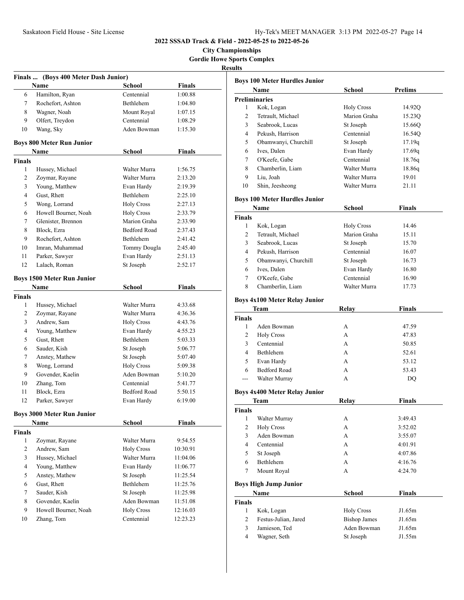**City Championships Gordie Howe Sports Complex Results**

|               | Finals  (Boys 400 Meter Dash Junior) |                     |               |  |
|---------------|--------------------------------------|---------------------|---------------|--|
|               | Name                                 | School              | <b>Finals</b> |  |
| 6             | Hamilton, Ryan                       | Centennial          | 1:00.88       |  |
| 7             | Rochefort, Ashton                    | Bethlehem           | 1:04.80       |  |
| 8             | Wagner, Noah                         | Mount Royal         | 1:07.15       |  |
| 9             | Olfert, Treydon                      | Centennial          | 1:08.29       |  |
| 10            | Wang, Sky                            | Aden Bowman         | 1:15.30       |  |
|               | <b>Boys 800 Meter Run Junior</b>     |                     |               |  |
|               | Name                                 | <b>School</b>       | <b>Finals</b> |  |
| <b>Finals</b> |                                      |                     |               |  |
| 1             | Hussey, Michael                      | Walter Murra        | 1:56.75       |  |
| 2             | Zoymar, Rayane                       | Walter Murra        | 2:13.20       |  |
| 3             | Young, Matthew                       | Evan Hardy          | 2:19.39       |  |
| 4             | Gust, Rhett                          | <b>Bethlehem</b>    | 2:25.10       |  |
| 5             | Wong, Lorrand                        | <b>Holy Cross</b>   | 2:27.13       |  |
| 6             | Howell Bourner, Noah                 | <b>Holy Cross</b>   | 2:33.79       |  |
| 7             | Glenister, Brennon                   | Marion Graha        | 2:33.90       |  |
| 8             | Block, Ezra                          | <b>Bedford Road</b> | 2:37.43       |  |
| 9             | Rochefort, Ashton                    | <b>Bethlehem</b>    | 2:41.42       |  |
| 10            | Imran, Muhammad                      | Tommy Dougla        | 2:45.40       |  |
| 11            | Parker, Sawyer                       | Evan Hardy          | 2:51.13       |  |
| 12            | Lalach, Roman                        | St Joseph           | 2:52.17       |  |
|               | <b>Boys 1500 Meter Run Junior</b>    |                     |               |  |
|               | Name                                 | <b>School</b>       | <b>Finals</b> |  |
| <b>Finals</b> |                                      |                     |               |  |
| 1             | Hussey, Michael                      | Walter Murra        | 4:33.68       |  |
| 2             | Zoymar, Rayane                       | Walter Murra        | 4:36.36       |  |
| 3             | Andrew, Sam                          | <b>Holy Cross</b>   | 4:43.76       |  |
| 4             | Young, Matthew                       | Evan Hardy          | 4:55.23       |  |
| 5             | Gust, Rhett                          | Bethlehem           | 5:03.33       |  |
| 6             | Sauder, Kish                         | St Joseph           | 5:06.77       |  |
| 7             | Anstey, Mathew                       | St Joseph           | 5:07.40       |  |
| 8             | Wong, Lorrand                        | <b>Holy Cross</b>   | 5:09.38       |  |
| 9             | Govender, Kaelin                     | Aden Bowman         | 5:10.20       |  |
| 10            | Zhang, Tom                           | Centennial          | 5:41.77       |  |
| 11            | Block, Ezra                          | Bedford Road        | 5:50.15       |  |
| 12            | Parker, Sawyer                       | Evan Hardy          | 6:19.00       |  |
|               | <b>Boys 3000 Meter Run Junior</b>    |                     |               |  |
|               | Name                                 | School              | <b>Finals</b> |  |
| <b>Finals</b> |                                      |                     |               |  |
| 1             | Zoymar, Rayane                       | Walter Murra        | 9:54.55       |  |
| 2             | Andrew, Sam                          | <b>Holy Cross</b>   | 10:30.91      |  |
| 3             | Hussey, Michael                      | Walter Murra        | 11:04.06      |  |
| 4             | Young, Matthew                       | Evan Hardy          | 11:06.77      |  |
| 5             | Anstey, Mathew                       | St Joseph           | 11:25.54      |  |
| 6             | Gust, Rhett                          | Bethlehem           | 11:25.76      |  |
| 7             | Sauder, Kish                         | St Joseph           | 11:25.98      |  |
| 8             | Govender, Kaelin                     | Aden Bowman         | 11:51.08      |  |
| 9             | Howell Bourner, Noah                 | <b>Holy Cross</b>   | 12:16.03      |  |
| 10            | Zhang, Tom                           | Centennial          | 12:23.23      |  |

|               | <b>Boys 100 Meter Hurdles Junior</b> |                     |                  |
|---------------|--------------------------------------|---------------------|------------------|
|               | <b>Name</b>                          | School              | <b>Prelims</b>   |
|               | <b>Preliminaries</b>                 |                     |                  |
| 1             | Kok, Logan                           | <b>Holy Cross</b>   | 14.92Q           |
| 2             | Tetrault, Michael                    | Marion Graha        | 15.23Q           |
| 3             | Seabrook, Lucas                      | St Joseph           | 15.66Q           |
| 4             | Pekush, Harrison                     | Centennial          | 16.54Q           |
| 5             | Obamwanyi, Churchill                 | St Joseph           | 17.19q           |
| 6             | Ives, Dalen                          | Evan Hardy          | 17.69q           |
| 7             | O'Keefe. Gabe                        | Centennial          | 18.76q           |
| 8             | Chamberlin, Liam                     | Walter Murra        | 18.86q           |
| 9.            | Liu. Joah                            | Walter Murra        | 19.01            |
| 10            | Shin, Jeesheong                      | Walter Murra        | 21.11            |
|               | <b>Boys 100 Meter Hurdles Junior</b> |                     |                  |
|               | Name                                 | School              | <b>Finals</b>    |
| <b>Finals</b> |                                      |                     |                  |
| 1             | Kok, Logan                           | <b>Holy Cross</b>   | 14.46            |
| 2             | Tetrault, Michael                    | Marion Graha        | 15.11            |
| 3             | Seabrook, Lucas                      | St Joseph           | 15.70            |
| 4             | Pekush, Harrison                     | Centennial          | 16.07            |
| 5             | Obamwanyi, Churchill                 | St Joseph           | 16.73            |
| 6             | Ives, Dalen                          | Evan Hardy          | 16.80            |
| 7             | O'Keefe. Gabe                        | Centennial          | 16.90            |
| 8             | Chamberlin, Liam                     | Walter Murra        | 17.73            |
|               |                                      |                     |                  |
|               | <b>Boys 4x100 Meter Relay Junior</b> |                     |                  |
|               | Team                                 | Relay               | Finals           |
| <b>Finals</b> |                                      |                     |                  |
| 1             | Aden Bowman                          | А                   | 47.59            |
| 2             | <b>Holy Cross</b>                    | A                   | 47.83            |
| 3             | Centennial                           | A                   | 50.85            |
| 4             | Bethlehem                            | A                   | 52.61            |
| 5             | Evan Hardy                           | A                   | 53.12            |
| 6             | <b>Bedford Road</b>                  | A                   | 53.43            |
| $---$         | Walter Murray                        | А                   | DO               |
|               | <b>Boys 4x400 Meter Relay Junior</b> |                     |                  |
|               | Team                                 | Relay               | Finals           |
| Finals        |                                      |                     |                  |
| 1             | Walter Murray                        | А                   | 3:49.43          |
| 2             | <b>Holy Cross</b>                    | А                   | 3:52.02          |
| 3             | Aden Bowman                          | А                   | 3:55.07          |
| 4             | Centennial                           | A                   | 4:01.91          |
| 5             | St Joseph                            | А                   | 4:07.86          |
| 6             | Bethlehem                            | A                   | 4:16.76          |
| 7             | Mount Royal                          | A                   | 4:24.70          |
|               | <b>Boys High Jump Junior</b>         |                     |                  |
|               |                                      |                     |                  |
|               | Name                                 | School              | Finals           |
| Finals        |                                      |                     |                  |
| 1             | Kok, Logan                           | <b>Holy Cross</b>   | J1.65m           |
| 2             | Festus-Julian, Jared                 | <b>Bishop James</b> | J1.65m           |
| 3<br>4        | Jamieson, Ted                        | Aden Bowman         | J1.65m<br>J1.55m |
|               | Wagner, Seth                         | St Joseph           |                  |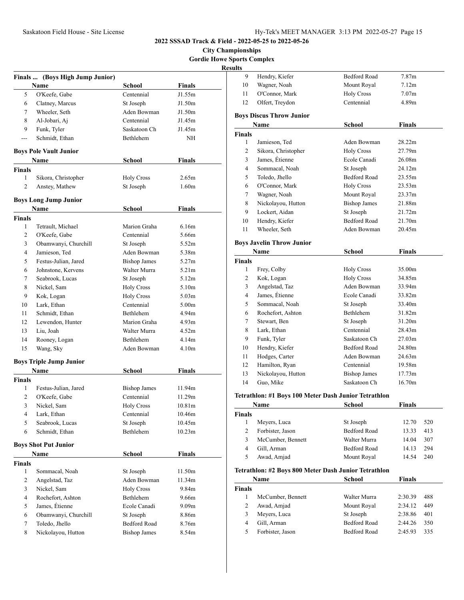**City Championships Gordie Howe Sports Complex**

| Results |
|---------|
|---------|

|                | Finals  (Boys High Jump Junior) |                     |                   |
|----------------|---------------------------------|---------------------|-------------------|
|                | Name                            | School              | <b>Finals</b>     |
| 5              | O'Keefe, Gabe                   | Centennial          | J1.55m            |
| 6              | Clatney, Marcus                 | St Joseph           | J1.50m            |
| 7              | Wheeler, Seth                   | Aden Bowman         | J1.50m            |
| 8              | Al-Jobari, Aj                   | Centennial          | J1.45m            |
| 9              | Funk, Tyler                     | Saskatoon Ch        | J1.45m            |
| ---            | Schmidt, Ethan                  | Bethlehem           | <b>NH</b>         |
|                | <b>Boys Pole Vault Junior</b>   |                     |                   |
|                | Name                            | School              | Finals            |
| <b>Finals</b>  |                                 |                     |                   |
| 1              | Sikora, Christopher             | Holy Cross          | 2.65m             |
| 2              | Anstey, Mathew                  | St Joseph           | 1.60 <sub>m</sub> |
|                | <b>Boys Long Jump Junior</b>    |                     |                   |
|                | Name                            | School              | Finals            |
| <b>Finals</b>  |                                 |                     |                   |
| 1              | Tetrault, Michael               | Marion Graha        | 6.16m             |
| 2              | O'Keefe, Gabe                   | Centennial          | 5.66m             |
| 3              | Obamwanyi, Churchill            | St Joseph           | 5.52m             |
| 4              | Jamieson, Ted                   | Aden Bowman         | 5.38m             |
| 5              | Festus-Julian, Jared            | <b>Bishop James</b> | 5.27 <sub>m</sub> |
| 6              | Johnstone, Kervens              | Walter Murra        | 5.21 <sub>m</sub> |
| 7              | Seabrook, Lucas                 | St Joseph           | 5.12m             |
| 8              | Nickel, Sam                     | <b>Holy Cross</b>   | 5.10 <sub>m</sub> |
| 9              | Kok, Logan                      | <b>Holy Cross</b>   | 5.03 <sub>m</sub> |
| 10             | Lark, Ethan                     | Centennial          | 5.00 <sub>m</sub> |
| 11             | Schmidt, Ethan                  | Bethlehem           | 4.94m             |
| 12             | Lewendon, Hunter                | Marion Graha        | 4.93 <sub>m</sub> |
| 13             | Liu, Joah                       | Walter Murra        | 4.52m             |
| 14             | Rooney, Logan                   | Bethlehem           | 4.14 <sub>m</sub> |
| 15             | Wang, Sky                       | Aden Bowman         | 4.10 <sub>m</sub> |
|                | <b>Boys Triple Jump Junior</b>  |                     |                   |
|                | Name                            | School              | <b>Finals</b>     |
| <b>Finals</b>  |                                 |                     |                   |
| 1              | Festus-Julian, Jared            | <b>Bishop James</b> | 11.94m            |
| 2              | O'Keefe, Gabe                   | Centennial          | 11.29m            |
| 3              | Nickel, Sam                     | <b>Holy Cross</b>   | 10.81m            |
| 4              | Lark, Ethan                     | Centennial          | 10.46m            |
| 5              | Seabrook, Lucas                 | St Joseph           | 10.45m            |
| 6              | Schmidt, Ethan                  | Bethlehem           | 10.23m            |
|                | <b>Boys Shot Put Junior</b>     |                     |                   |
|                | Name                            | <b>School</b>       | <b>Finals</b>     |
| <b>Finals</b>  |                                 |                     |                   |
| $\mathbf{1}$   | Sommacal, Noah                  | St Joseph           | 11.50m            |
| $\overline{c}$ | Angelstad, Taz                  | Aden Bowman         | 11.34m            |
| 3              | Nickel, Sam                     | <b>Holy Cross</b>   | 9.84m             |
| 4              | Rochefort, Ashton               | Bethlehem           | 9.66m             |
| 5              | James, Étienne                  | Ecole Canadi        | 9.09 <sub>m</sub> |
| 6              | Obamwanyi, Churchill            | St Joseph           | 8.86m             |
| 7              | Toledo, Jhello                  | <b>Bedford Road</b> | 8.76m             |
| 8              | Nickolayou, Hutton              | <b>Bishop James</b> | 8.54m             |

| ults           |                                                      |                     |                   |     |
|----------------|------------------------------------------------------|---------------------|-------------------|-----|
| 9              | Hendry, Kiefer                                       | <b>Bedford Road</b> | 7.87m             |     |
| 10             | Wagner, Noah                                         | Mount Royal         | 7.12m             |     |
| 11             | O'Connor, Mark                                       | <b>Holy Cross</b>   | 7.07 <sub>m</sub> |     |
| 12             | Olfert, Treydon                                      | Centennial          | 4.89m             |     |
|                | <b>Boys Discus Throw Junior</b>                      |                     |                   |     |
|                | Name                                                 | School              | Finals            |     |
| Finals         |                                                      |                     |                   |     |
| 1              | Jamieson, Ted                                        | Aden Bowman         | 28.22m            |     |
| 2              | Sikora, Christopher                                  | <b>Holy Cross</b>   | 27.79m            |     |
| 3              | James, Étienne                                       | Ecole Canadi        | 26.08m            |     |
| 4              | Sommacal, Noah                                       | St Joseph           | 24.12m            |     |
| 5              | Toledo, Jhello                                       | <b>Bedford Road</b> | 23.55m            |     |
| 6              | O'Connor, Mark                                       | <b>Holy Cross</b>   | 23.53m            |     |
| 7              | Wagner, Noah                                         | Mount Royal         | 23.37m            |     |
| 8              | Nickolayou, Hutton                                   | <b>Bishop James</b> | 21.88m            |     |
| 9              | Lockert. Aidan                                       | St Joseph           | 21.72m            |     |
| 10             | Hendry, Kiefer                                       | <b>Bedford Road</b> | 21.70m            |     |
| 11             | Wheeler, Seth                                        | Aden Bowman         | 20.45m            |     |
|                | <b>Boys Javelin Throw Junior</b>                     |                     |                   |     |
|                | Name                                                 | School              | <b>Finals</b>     |     |
| Finals         |                                                      |                     |                   |     |
| 1              | Frey, Colby                                          | <b>Holy Cross</b>   | 35.00m            |     |
| 2              | Kok, Logan                                           | <b>Holy Cross</b>   | 34.85m            |     |
| 3              | Angelstad, Taz                                       | Aden Bowman         | 33.94m            |     |
| 4              | James, Etienne                                       | Ecole Canadi        | 33.82m            |     |
| 5              | Sommacal, Noah                                       | St Joseph           | 33.40m            |     |
| 6              | Rochefort, Ashton                                    | Bethlehem           | 31.82m            |     |
| 7              | Stewart, Ben                                         | St Joseph           | 31.20m            |     |
| 8              | Lark, Ethan                                          | Centennial          | 28.43m            |     |
| 9              | Funk, Tyler                                          | Saskatoon Ch        | 27.03m            |     |
| 10             | Hendry, Kiefer                                       | <b>Bedford Road</b> | 24.80m            |     |
| 11             | Hodges, Carter                                       | Aden Bowman         | 24.63m            |     |
| 12             | Hamilton, Ryan                                       | Centennial          | 19.58m            |     |
| 13             | Nickolayou, Hutton                                   | <b>Bishop James</b> | 17.73m            |     |
| 14             | Guo, Mike                                            | Saskatoon Ch        | 16.70m            |     |
|                | Tetrathlon: #1 Boys 100 Meter Dash Junior Tetrathlon |                     |                   |     |
|                | Name                                                 | School              | Finals            |     |
| <b>Finals</b>  |                                                      |                     |                   |     |
| $\mathbf{1}$   | Meyers, Luca                                         | St Joseph           | 12.70             | 520 |
| 2              | Forbister, Jason                                     | <b>Bedford Road</b> | 13.33             | 413 |
| 3              | McCumber, Bennett                                    | Walter Murra        | 14.04             | 307 |
| $\overline{4}$ | Gill, Arman                                          | Bedford Road        | 14.13             | 294 |
| 5              | Awad, Amjad                                          | Mount Royal         | 14.54             | 240 |
|                | Tetrathlon: #2 Boys 800 Meter Dash Junior Tetrathlon |                     |                   |     |
|                | Name                                                 | <b>School</b>       | <b>Finals</b>     |     |

| Name   |                   | School              | Finals  |     |  |
|--------|-------------------|---------------------|---------|-----|--|
| Finals |                   |                     |         |     |  |
|        | McCumber, Bennett | Walter Murra        | 2:30.39 | 488 |  |
| 2      | Awad, Amjad       | Mount Royal         | 2:34.12 | 449 |  |
| 3      | Meyers, Luca      | St Joseph           | 2:38.86 | 401 |  |
| 4      | Gill, Arman       | <b>Bedford Road</b> | 2:44.26 | 350 |  |
|        | Forbister, Jason  | <b>Bedford Road</b> | 2:45.93 | 335 |  |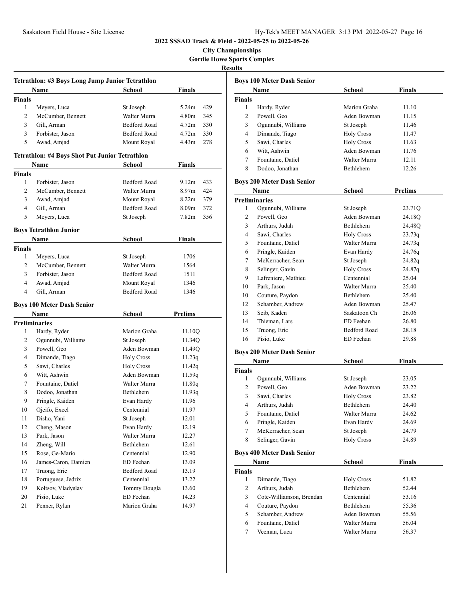**City Championships Gordie Howe Sports Complex**

# **Results**

| Tetrathlon: #3 Boys Long Jump Junior Tetrathlon |                                                               |                     |                          |  |  |
|-------------------------------------------------|---------------------------------------------------------------|---------------------|--------------------------|--|--|
|                                                 | Name                                                          | School              | <b>Finals</b>            |  |  |
| <b>Finals</b>                                   |                                                               |                     |                          |  |  |
| 1                                               | Meyers, Luca                                                  | St Joseph           | 5.24m<br>429             |  |  |
| 2                                               | McCumber, Bennett                                             | Walter Murra        | 4.80 <sub>m</sub><br>345 |  |  |
| 3                                               | Gill, Arman                                                   | Bedford Road        | 4.72m<br>330             |  |  |
| 3                                               | Forbister, Jason                                              | <b>Bedford Road</b> | 4.72m<br>330             |  |  |
| 5                                               | Awad, Amjad                                                   | Mount Royal         | 4.43m<br>278             |  |  |
|                                                 |                                                               |                     |                          |  |  |
|                                                 | <b>Tetrathlon: #4 Boys Shot Put Junior Tetrathlon</b><br>Name | School              | Finals                   |  |  |
| <b>Finals</b>                                   |                                                               |                     |                          |  |  |
| 1                                               | Forbister, Jason                                              | Bedford Road        | 9.12 <sub>m</sub><br>433 |  |  |
| 2                                               | McCumber, Bennett                                             | Walter Murra        | 8.97 <sub>m</sub><br>424 |  |  |
| 3                                               | Awad, Amjad                                                   | Mount Royal         | 379<br>8.22m             |  |  |
| 4                                               | Gill, Arman                                                   | <b>Bedford Road</b> | 8.09 <sub>m</sub><br>372 |  |  |
| 5                                               | Meyers, Luca                                                  | St Joseph           | 7.82 <sub>m</sub><br>356 |  |  |
|                                                 |                                                               |                     |                          |  |  |
|                                                 | <b>Boys Tetrathlon Junior</b>                                 |                     |                          |  |  |
|                                                 | Name                                                          | <b>School</b>       | <b>Finals</b>            |  |  |
| <b>Finals</b>                                   |                                                               |                     |                          |  |  |
| 1                                               | Meyers, Luca                                                  | St Joseph           | 1706                     |  |  |
| 2                                               | McCumber, Bennett                                             | Walter Murra        | 1564                     |  |  |
| 3                                               | Forbister, Jason                                              | <b>Bedford Road</b> | 1511                     |  |  |
| 4                                               | Awad, Amjad                                                   | Mount Royal         | 1346                     |  |  |
| $\overline{4}$                                  | Gill, Arman                                                   | Bedford Road        | 1346                     |  |  |
|                                                 | <b>Boys 100 Meter Dash Senior</b>                             |                     |                          |  |  |
|                                                 | Name                                                          | <b>School</b>       | Prelims                  |  |  |
|                                                 | <b>Preliminaries</b>                                          |                     |                          |  |  |
| 1                                               | Hardy, Ryder                                                  | Marion Graha        | 11.10Q                   |  |  |
| 2                                               | Ogunnubi, Williams                                            | St Joseph           | 11.34Q                   |  |  |
| 3                                               | Powell, Geo                                                   | Aden Bowman         | 11.49Q                   |  |  |
| 4                                               | Dimande, Tiago                                                | <b>Holy Cross</b>   | 11.23q                   |  |  |
| 5                                               | Sawi, Charles                                                 | <b>Holy Cross</b>   | 11.42q                   |  |  |
| 6                                               | Witt, Ashwin                                                  | Aden Bowman         | 11.59q                   |  |  |
| 7                                               | Fountaine, Datiel                                             | Walter Murra        | 11.80q                   |  |  |
| 8                                               | Dodoo, Jonathan                                               | <b>Bethlehem</b>    | 11.93q                   |  |  |
| 9                                               | Pringle, Kaiden                                               | Evan Hardy          | 11.96                    |  |  |
| 10                                              | Ojeifo, Excel                                                 | Centennial          | 11.97                    |  |  |
| 11                                              | Disho, Yani                                                   | St Joseph           | 12.01                    |  |  |
| 12                                              | Cheng, Mason                                                  | Evan Hardy          | 12.19                    |  |  |
| 13                                              | Park. Jason                                                   | Walter Murra        | 12.27                    |  |  |
| 14                                              | Zheng, Will                                                   | Bethlehem           | 12.61                    |  |  |
| 15                                              | Rose, Ge-Mario                                                | Centennial          | 12.90                    |  |  |
| 16                                              | James-Caron, Damien                                           | ED Feehan           | 13.09                    |  |  |
| 17                                              | Truong, Eric                                                  | Bedford Road        | 13.19                    |  |  |
| 18                                              | Portuguese, Jedrix                                            | Centennial          | 13.22                    |  |  |
| 19                                              | Koltsov, Vladyslav                                            | Tommy Dougla        | 13.60                    |  |  |
| 20                                              | Pisio, Luke                                                   | ED Feehan           | 14.23                    |  |  |
| 21                                              | Penner, Rylan                                                 | Marion Graha        | 14.97                    |  |  |

|               | <b>Name</b>                       | <b>School</b>       | <b>Finals</b>  |
|---------------|-----------------------------------|---------------------|----------------|
| <b>Finals</b> |                                   |                     |                |
| 1             | Hardy, Ryder                      | Marion Graha        | 11.10          |
| 2             | Powell, Geo                       | Aden Bowman         | 11.15          |
| 3             | Ogunnubi, Williams                | St Joseph           | 11.46          |
| 4             | Dimande, Tiago                    | <b>Holy Cross</b>   | 11.47          |
| 5             | Sawi, Charles                     | <b>Holy Cross</b>   | 11.63          |
| 6             | Witt, Ashwin                      | Aden Bowman         | 11.76          |
| 7             | Fountaine, Datiel                 | Walter Murra        | 12.11          |
| 8             | Dodoo, Jonathan                   | <b>Bethlehem</b>    | 12.26          |
|               | <b>Boys 200 Meter Dash Senior</b> |                     |                |
|               | Name                              | <b>School</b>       | <b>Prelims</b> |
|               | <b>Preliminaries</b>              |                     |                |
| 1             | Ogunnubi, Williams                | St Joseph           | 23.71Q         |
| 2             | Powell, Geo                       | Aden Bowman         | 24.18O         |
| 3             | Arthurs, Judah                    | <b>Bethlehem</b>    | 24.48Q         |
| 4             | Sawi, Charles                     | <b>Holy Cross</b>   | 23.73q         |
| 5             | Fountaine, Datiel                 | Walter Murra        | 24.73q         |
| 6             | Pringle, Kaiden                   | Evan Hardy          | 24.76g         |
| 7             | McKerracher, Sean                 | St Joseph           | 24.82q         |
| 8             | Selinger, Gavin                   | <b>Holy Cross</b>   | 24.87q         |
| 9             | Lafreniere, Mathieu               | Centennial          | 25.04          |
| 10            | Park, Jason                       | Walter Murra        | 25.40          |
| 10            | Couture, Paydon                   | Bethlehem           | 25.40          |
| 12            | Schamber, Andrew                  | Aden Bowman         | 25.47          |
| 13            | Seib, Kaden                       | Saskatoon Ch        | 26.06          |
| 14            | Thieman, Lars                     | ED Feehan           | 26.80          |
| 15            | Truong, Eric                      | <b>Bedford Road</b> | 28.18          |
| 16            | Pisio, Luke                       | ED Feehan           | 29.88          |
|               | <b>Boys 200 Meter Dash Senior</b> |                     |                |
|               | Name                              | <b>School</b>       | <b>Finals</b>  |
| <b>Finals</b> |                                   |                     |                |
| 1             | Ogunnubi, Williams                | St Joseph           | 23.05          |

|   | Ogunnubi, Williams | St Joseph         | 23.05 |
|---|--------------------|-------------------|-------|
| 2 | Powell, Geo        | Aden Bowman       | 23.22 |
|   | Sawi, Charles      | <b>Holy Cross</b> | 23.82 |
| 4 | Arthurs, Judah     | <b>Bethlehem</b>  | 24.40 |
| 5 | Fountaine, Datiel  | Walter Murra      | 24.62 |
| 6 | Pringle, Kaiden    | Evan Hardy        | 24.69 |
|   | McKerracher, Sean  | St Joseph         | 24.79 |
| 8 | Selinger, Gavin    | <b>Holy Cross</b> | 24.89 |

### **Boys 400 Meter Dash Senior**

| Name          |                          | <b>School</b>     | <b>Finals</b> |  |
|---------------|--------------------------|-------------------|---------------|--|
| <b>Finals</b> |                          |                   |               |  |
|               | Dimande, Tiago           | <b>Holy Cross</b> | 51.82         |  |
| 2             | Arthurs, Judah           | Bethlehem         | 52.44         |  |
| 3             | Cote-Williamson, Brendan | Centennial        | 53.16         |  |
| 4             | Couture, Paydon          | <b>Bethlehem</b>  | 55.36         |  |
| 5             | Schamber, Andrew         | Aden Bowman       | 55.56         |  |
| 6             | Fountaine, Datiel        | Walter Murra      | 56.04         |  |
|               | Veeman, Luca             | Walter Murra      | 56.37         |  |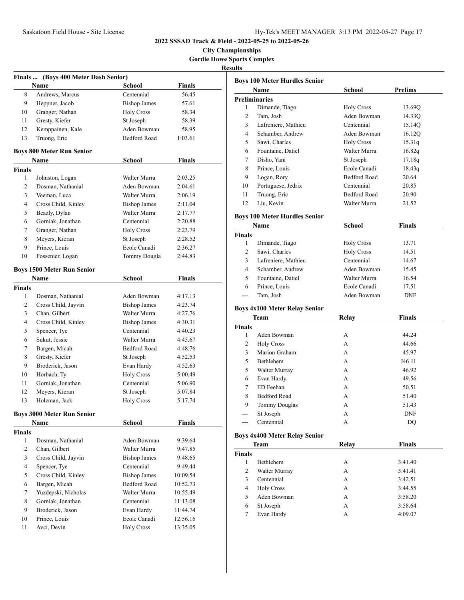**City Championships Gordie Howe Sports Complex**

# **Results**

|               | Finals  (Boys 400 Meter Dash Senior) |                     |               |  |
|---------------|--------------------------------------|---------------------|---------------|--|
|               | Name                                 | School              | <b>Finals</b> |  |
| 8             | Andrews, Marcus                      | Centennial          | 56.45         |  |
| 9             | Heppner, Jacob                       | <b>Bishop James</b> | 57.61         |  |
| 10            | Granger, Nathan                      | <b>Holy Cross</b>   | 58.34         |  |
| 11            | Gresty, Kiefer                       | St Joseph           | 58.39         |  |
| 12            | Kemppainen, Kale                     | Aden Bowman         | 58.95         |  |
| 13            | Truong, Eric                         | <b>Bedford Road</b> | 1:03.61       |  |
|               | <b>Boys 800 Meter Run Senior</b>     |                     |               |  |
|               | Name                                 | School              | <b>Finals</b> |  |
| <b>Finals</b> |                                      |                     |               |  |
| 1             | Johnston, Logan                      | Walter Murra        | 2:03.25       |  |
| 2             | Dosman, Nathanial                    | Aden Bowman         | 2:04.61       |  |
| 3             | Veeman, Luca                         | Walter Murra        | 2:06.19       |  |
| 4             | Cross Child, Kinley                  | <b>Bishop James</b> | 2:11.04       |  |
| 5             | Beazly, Dylan                        | Walter Murra        | 2:17.77       |  |
| 6             | Gorniak, Jonathan                    | Centennial          | 2:20.88       |  |
| 7             | Granger, Nathan                      | <b>Holy Cross</b>   | 2:23.79       |  |
| 8             | Meyers, Kieran                       | St Joseph           | 2:28.52       |  |
| 9             | Prince, Louis                        | Ecole Canadi        | 2:36.27       |  |
| 10            | Fossenier, Logan                     | Tommy Dougla        | 2:44.83       |  |
|               |                                      |                     |               |  |
|               | <b>Boys 1500 Meter Run Senior</b>    |                     |               |  |
|               | Name                                 | School              | <b>Finals</b> |  |
| <b>Finals</b> |                                      |                     |               |  |
| 1             | Dosman, Nathanial                    | Aden Bowman         | 4:17.13       |  |
| 2             | Cross Child, Jayvin                  | <b>Bishop James</b> | 4:23.74       |  |
| 3             | Chan, Gilbert                        | Walter Murra        | 4:27.76       |  |
| 4             | Cross Child, Kinley                  | <b>Bishop James</b> | 4:30.31       |  |
| 5             | Spencer, Tye                         | Centennial          | 4:40.23       |  |
| 6             | Sukut, Jessie                        | Walter Murra        | 4:45.67       |  |
| 7             | Bargen, Micah                        | <b>Bedford Road</b> | 4:48.76       |  |
| 8             | Gresty, Kiefer                       | St Joseph           | 4:52.53       |  |
| 9             | Broderick, Jason                     | Evan Hardy          | 4:52.63       |  |
| 10            | Horbach, Ty                          | <b>Holy Cross</b>   | 5:00.49       |  |
| 11            | Gorniak, Jonathan                    | Centennial          | 5:06.90       |  |
| 12            | Meyers, Kieran                       | St Joseph           | 5:07.84       |  |
| 13            | Holzman, Jack                        | <b>Holy Cross</b>   | 5:17.74       |  |
|               | <b>Boys 3000 Meter Run Senior</b>    |                     |               |  |
|               | Name                                 | School              | <b>Finals</b> |  |
| <b>Finals</b> |                                      |                     |               |  |
| 1             | Dosman, Nathanial                    | Aden Bowman         | 9:39.64       |  |
| 2             | Chan, Gilbert                        | Walter Murra        | 9:47.85       |  |
| 3             | Cross Child, Jayvin                  | <b>Bishop James</b> | 9:48.65       |  |
| 4             | Spencer, Tye                         | Centennial          | 9:49.44       |  |
| 5             | Cross Child, Kinley                  | <b>Bishop James</b> | 10:09.54      |  |
| 6             | Bargen, Micah                        | Bedford Road        | 10:52.73      |  |
| 7             | Yuzdepski, Nicholas                  | Walter Murra        | 10:55.49      |  |
| 8             | Gorniak, Jonathan                    | Centennial          | 11:13.08      |  |
| 9             | Broderick, Jason                     | Evan Hardy          | 11:44.74      |  |
| 10            | Prince, Louis                        | Ecole Canadi        | 12:56.16      |  |
| 11            | Avci, Devin                          | <b>Holy Cross</b>   | 13:35.05      |  |
|               |                                      |                     |               |  |

|                | <b>Boys 100 Meter Hurdles Senior</b><br>Name | School              | <b>Prelims</b> |
|----------------|----------------------------------------------|---------------------|----------------|
|                | <b>Preliminaries</b>                         |                     |                |
| 1              | Dimande, Tiago                               | <b>Holy Cross</b>   | 13.69Q         |
| 2              | Tam, Josh                                    | Aden Bowman         | 14.33Q         |
| 3              | Lafreniere, Mathieu                          | Centennial          | 15.14Q         |
| 4              | Schamber, Andrew                             | Aden Bowman         | 16.12Q         |
| 5              | Sawi, Charles                                | <b>Holy Cross</b>   | 15.31q         |
| 6              | Fountaine, Datiel                            | Walter Murra        | 16.82q         |
| 7              | Disho, Yani                                  | St Joseph           | 17.18q         |
| 8              | Prince, Louis                                | Ecole Canadi        | 18.43q         |
| 9              | Logan, Rory                                  | <b>Bedford Road</b> | 20.64          |
| 10             | Portuguese, Jedrix                           | Centennial          | 20.85          |
| 11             | Truong, Eric                                 | <b>Bedford Road</b> | 20.90          |
| 12             | Liu, Kevin                                   | Walter Murra        | 21.52          |
|                | <b>Boys 100 Meter Hurdles Senior</b>         |                     |                |
|                | Name                                         | <b>School</b>       | <b>Finals</b>  |
| <b>Finals</b>  |                                              |                     |                |
| 1              | Dimande, Tiago                               | <b>Holy Cross</b>   | 13.71          |
| $\overline{c}$ | Sawi, Charles                                | <b>Holy Cross</b>   | 14.51          |
| 3              | Lafreniere, Mathieu                          | Centennial          | 14.67          |
| 4              | Schamber, Andrew                             | Aden Bowman         | 15.45          |
| 5              | Fountaine, Datiel                            | Walter Murra        | 16.54          |
| 6              | Prince, Louis                                | Ecole Canadi        | 17.51          |
|                | Tam, Josh                                    | Aden Bowman         | <b>DNF</b>     |
|                | <b>Boys 4x100 Meter Relay Senior</b>         |                     |                |
|                | Team                                         | Relay               | <b>Finals</b>  |

|   | Aden Bowman          | А | 44.24      |
|---|----------------------|---|------------|
| 2 | <b>Holy Cross</b>    | А | 44.66      |
| 3 | Marion Graham        | А | 45.97      |
| 5 | <b>Bethlehem</b>     | А | J46.11     |
| 5 | Walter Murray        | А | 46.92      |
| 6 | Evan Hardy           | А | 49.56      |
| 7 | ED Feehan            | А | 50.51      |
| 8 | <b>Bedford Road</b>  | А | 51.40      |
| 9 | <b>Tommy Douglas</b> | А | 51.43      |
|   | St Joseph            | А | <b>DNF</b> |
|   | Centennial           | А | DO         |

# **Boys 4x400 Meter Relay Senior**

|                | Team              | Relay | <b>Finals</b> |
|----------------|-------------------|-------|---------------|
| <b>Finals</b>  |                   |       |               |
|                | <b>Bethlehem</b>  | А     | 3:41.40       |
| 2              | Walter Murray     | А     | 3:41.41       |
| 3              | Centennial        | А     | 3:42.51       |
| $\overline{4}$ | <b>Holy Cross</b> | А     | 3:44.55       |
| 5              | Aden Bowman       | А     | 3:58.20       |
| 6              | St Joseph         | А     | 3:58.64       |
|                | Evan Hardy        | А     | 4:09.07       |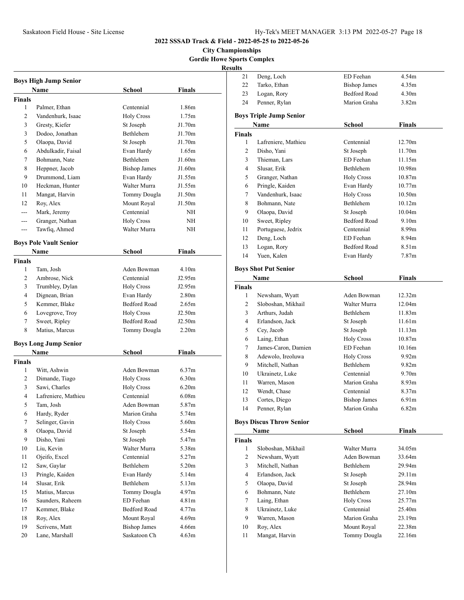**City Championships Gordie Howe Sports Complex**

| <b>Boys High Jump Senior</b> |                               |                     |                    |  |
|------------------------------|-------------------------------|---------------------|--------------------|--|
|                              | Name                          | School              | <b>Finals</b>      |  |
| <b>Finals</b>                |                               |                     |                    |  |
| 1                            | Palmer, Ethan                 | Centennial          | 1.86m              |  |
| 2                            | Vandenhurk, Isaac             | <b>Holy Cross</b>   | 1.75m              |  |
| 3                            | Gresty, Kiefer                | St Joseph           | J1.70m             |  |
| 3                            | Dodoo, Jonathan               | Bethlehem           | J1.70m             |  |
| 5                            | Olaopa, David                 | St Joseph           | J1.70m             |  |
| 6                            | Abdulkadir, Faisal            | Evan Hardy          | 1.65m              |  |
| 7                            | Bohmann, Nate                 | Bethlehem           | J1.60m             |  |
| 8                            | Heppner, Jacob                | <b>Bishop James</b> | J1.60m             |  |
| 9                            | Drummond, Liam                | Evan Hardy          | J1.55m             |  |
| 10                           | Heckman, Hunter               | Walter Murra        | J1.55m             |  |
| 11                           | Mangat, Harvin                | Tommy Dougla        | J1.50m             |  |
| 12                           | Roy, Alex                     | Mount Royal         | J1.50m             |  |
| $---$                        | Mark, Jeremy                  | Centennial          | NΗ                 |  |
| ---                          | Granger, Nathan               | <b>Holy Cross</b>   | NΗ                 |  |
| ---                          | Tawfiq, Ahmed                 | Walter Murra        | NΗ                 |  |
|                              | <b>Boys Pole Vault Senior</b> |                     |                    |  |
|                              | Name                          | School              | Finals             |  |
| <b>Finals</b>                |                               |                     |                    |  |
| 1                            | Tam. Josh                     | Aden Bowman         | 4.10m              |  |
| 2                            | Ambrose, Nick                 | Centennial          | J2.95m             |  |
| 3                            | Trumbley, Dylan               | <b>Holy Cross</b>   | J2.95m             |  |
| 4                            | Dignean, Brian                | Evan Hardy          | 2.80 <sub>m</sub>  |  |
| 5                            | Kemmer, Blake                 | <b>Bedford Road</b> | 2.65m              |  |
| 6                            | Lovegrove, Troy               | <b>Holy Cross</b>   | J2.50m             |  |
| 7                            | Sweet, Ripley                 | <b>Bedford Road</b> | J2.50 <sub>m</sub> |  |
| 8                            | Matius, Marcus                | Tommy Dougla        | 2.20 <sub>m</sub>  |  |
|                              | <b>Boys Long Jump Senior</b>  |                     |                    |  |
|                              | Name                          | School              | Finals             |  |
| <b>Finals</b>                |                               |                     |                    |  |
| 1                            | Witt, Ashwin                  | Aden Bowman         | 6.37m              |  |
| 2                            | Dimande, Tiago                | <b>Holy Cross</b>   | 6.30 <sub>m</sub>  |  |
| 3                            | Sawi, Charles                 | <b>Holy Cross</b>   | 6.20m              |  |
| 4                            | Lafreniere, Mathieu           | Centennial          | 6.08 <sub>m</sub>  |  |
| 5                            | Tam. Josh                     | Aden Bowman         | 5.87m              |  |
| 6                            | Hardy, Ryder                  | Marion Graha        | 5.74m              |  |
| 7                            | Selinger, Gavin               | <b>Holy Cross</b>   | 5.60m              |  |
| 8                            | Olaopa, David                 | St Joseph           | 5.54m              |  |
| 9                            | Disho, Yani                   | St Joseph           | 5.47m              |  |
| 10                           | Liu, Kevin                    | Walter Murra        | 5.38m              |  |
| 11                           | Ojeifo, Excel                 | Centennial          | 5.27m              |  |
| 12                           | Saw, Gaylar                   | Bethlehem           | 5.20m              |  |
| 13                           | Pringle, Kaiden               | Evan Hardy          | 5.14m              |  |
| 14                           | Slusar, Erik                  | Bethlehem           | 5.13m              |  |
| 15                           | Matius, Marcus                | Tommy Dougla        | 4.97m              |  |
| 16                           | Saunders, Raheem              | ED Feehan           | 4.81 <sub>m</sub>  |  |
| 17                           | Kemmer, Blake                 | Bedford Road        | 4.77m              |  |
| 18                           | Roy, Alex                     | Mount Royal         | 4.69m              |  |
| 19                           | Scrivens, Matt                | <b>Bishop James</b> | 4.66m              |  |
| 20                           | Lane, Marshall                | Saskatoon Ch        | 4.63m              |  |

| 21     | Deng, Loch                      | ED Feehan           | 4.54m              |  |
|--------|---------------------------------|---------------------|--------------------|--|
| 22     | Tarko, Ethan                    | <b>Bishop James</b> | 4.35m              |  |
| 23     | Logan, Rory                     | <b>Bedford Road</b> | 4.30m              |  |
| 24     | Penner, Rylan                   | Marion Graha        | 3.82 <sub>m</sub>  |  |
|        |                                 |                     |                    |  |
|        | <b>Boys Triple Jump Senior</b>  |                     |                    |  |
|        | Name                            | School              | <b>Finals</b>      |  |
| Finals |                                 |                     |                    |  |
| 1      | Lafreniere, Mathieu             | Centennial          | 12.70m             |  |
| 2      | Disho, Yani                     | St Joseph           | 11.70m             |  |
| 3      | Thieman, Lars                   | ED Feehan           | 11.15m             |  |
| 4      | Slusar, Erik                    | Bethlehem           | 10.98m             |  |
| 5      | Granger, Nathan                 | <b>Holy Cross</b>   | 10.87 <sub>m</sub> |  |
| 6      | Pringle, Kaiden                 | Evan Hardy          | 10.77m             |  |
| 7      | Vandenhurk, Isaac               | <b>Holy Cross</b>   | 10.50 <sub>m</sub> |  |
| 8      | Bohmann, Nate                   | Bethlehem           | 10.12m             |  |
| 9      | Olaopa, David                   | St Joseph           | 10.04m             |  |
| 10     | Sweet, Ripley                   | <b>Bedford Road</b> | 9.10m              |  |
| 11     | Portuguese, Jedrix              | Centennial          | 8.99m              |  |
| 12     | Deng, Loch                      | ED Feehan           | 8.94m              |  |
| 13     | Logan, Rory                     | Bedford Road        | 8.51 <sub>m</sub>  |  |
| 14     | Yuen, Kalen                     | Evan Hardy          | 7.87 <sub>m</sub>  |  |
|        | <b>Boys Shot Put Senior</b>     |                     |                    |  |
|        | Name                            | <b>School</b>       | <b>Finals</b>      |  |
| Finals |                                 |                     |                    |  |
| 1      | Newsham, Wyatt                  | Aden Bowman         | 12.32m             |  |
| 2      | Sloboshan, Mikhail              | Walter Murra        | 12.04m             |  |
| 3      | Arthurs, Judah                  | Bethlehem           | 11.83m             |  |
| 4      | Erlandson, Jack                 | St Joseph           | 11.61m             |  |
| 5      | Cey, Jacob                      | St Joseph           | 11.13m             |  |
| 6      | Laing, Ethan                    | <b>Holy Cross</b>   | 10.87 <sub>m</sub> |  |
| 7      | James-Caron, Damien             | ED Feehan           | 10.16m             |  |
| 8      | Adewolo, Ireoluwa               | <b>Holy Cross</b>   | 9.92m              |  |
| 9      | Mitchell, Nathan                | Bethlehem           | 9.82m              |  |
| 10     | Ukrainetz, Luke                 | Centennial          | 9.70 <sub>m</sub>  |  |
| 11     | Warren, Mason                   | Marion Graha        | 8.93 <sub>m</sub>  |  |
| 12     | Wendt, Chase                    | Centennial          | 8.37 <sub>m</sub>  |  |
| 13     | Cortes, Diego                   | <b>Bishop James</b> | 6.91 <sub>m</sub>  |  |
| 14     | Penner, Rylan                   | Marion Graha        | 6.82m              |  |
|        |                                 |                     |                    |  |
|        | <b>Boys Discus Throw Senior</b> |                     |                    |  |
|        | <b>Name</b>                     | School              | <b>Finals</b>      |  |
| Finals |                                 |                     |                    |  |
| 1      | Sloboshan, Mikhail              | Walter Murra        | 34.05m             |  |
| 2      | Newsham, Wyatt                  | Aden Bowman         | 33.64m             |  |
| 3      | Mitchell, Nathan                | Bethlehem           | 29.94m             |  |
| 4      | Erlandson, Jack                 | St Joseph           | 29.11m             |  |
| 5      | Olaopa, David                   | St Joseph           | 28.94m             |  |
| 6      | Bohmann, Nate                   | Bethlehem           | 27.10m             |  |
| 7      | Laing, Ethan                    | <b>Holy Cross</b>   | 25.77m             |  |
| 8      | Ukrainetz, Luke                 | Centennial          | 25.40m             |  |
| 9      | Warren, Mason                   | Marion Graha        | 23.19m             |  |
| 10     | Roy, Alex                       | Mount Royal         | 22.38m             |  |
| 11     | Mangat, Harvin                  | Tommy Dougla        | 22.16m             |  |
|        |                                 |                     |                    |  |
|        |                                 |                     |                    |  |